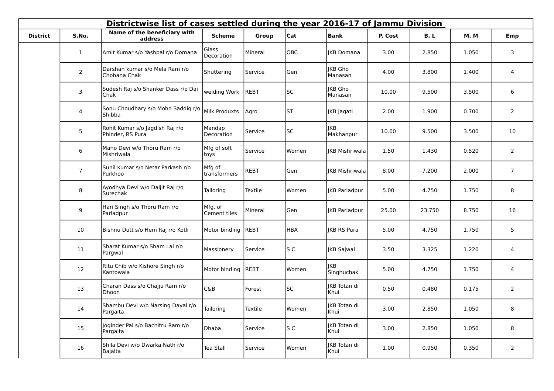|                 | Districtwise list of cases settled during the year 2016-17 of Jammu Division |                                                     |                         |             |                |                           |         |        |       |                |  |  |
|-----------------|------------------------------------------------------------------------------|-----------------------------------------------------|-------------------------|-------------|----------------|---------------------------|---------|--------|-------|----------------|--|--|
| <b>District</b> | S.No.                                                                        | Name of the beneficiary with<br>address             | <b>Scheme</b>           | Group       | Cat            | <b>Bank</b>               | P. Cost | B. L   | M.M   | Emp            |  |  |
|                 | $\mathbf{1}$                                                                 | Amit Kumar s/o Yashpal r/o Domana                   | Glass<br>Decoration     | Mineral     | OBC            | <b>IKB Domana</b>         | 3.00    | 2.850  | 1.050 | 3              |  |  |
|                 | $\overline{2}$                                                               | Darshan kumar s/o Mela Ram r/o<br>Chohana Chak      | Shuttering              | Service     | Gen            | JKB Gho<br>Manasan        | 4.00    | 3.800  | 1.400 | 4              |  |  |
|                 | $\mathsf{3}$                                                                 | Sudesh Raj s/o Shanker Dass r/o Dai<br>Chak         | welding Work            | <b>REBT</b> | <b>SC</b>      | <b>IKB</b> Gho<br>Manasan | 10.00   | 9.500  | 3.500 | 6              |  |  |
|                 | 4                                                                            | Sonu Choudhary s/o Mohd Saddiq r/o<br>Shibba        | Milk Produxts           | Agro        | <b>ST</b>      | JKB Jagati                | 2.00    | 1.900  | 0.700 | $\overline{2}$ |  |  |
|                 | 5                                                                            | Rohit Kumar s/o Jagdish Raj r/o<br>Phinder, RS Pura | Mandap<br>Decoration    | Service     | <b>SC</b>      | JKB<br>Makhanpur          | 10.00   | 9.500  | 3.500 | 10             |  |  |
|                 | 6                                                                            | Mano Devi w/o Thoru Ram r/o<br>Mishriwala           | Mfg of soft<br>toys     | Service     | Women          | <b>IKB Mishriwala</b>     | 1.50    | 1.430  | 0.520 | $\overline{2}$ |  |  |
|                 | $\overline{7}$                                                               | Sunil Kumar s/o Netar Parkash r/o<br>Purkhoo        | Mfg of<br>transformers  | REBT        | Gen            | <b>IKB Mishriwala</b>     | 8.00    | 7.200  | 2.000 | $\overline{7}$ |  |  |
|                 | 8                                                                            | Ayodhya Devi w/o Daljit Raj r/o<br>Surechak         | Tailoring               | Textile     | Women          | JKB Parladpur             | 5.00    | 4.750  | 1.750 | 8              |  |  |
|                 | 9                                                                            | Hari Singh s/o Thoru Ram r/o<br>Parladpur           | Mfg. of<br>Cement tiles | Mineral     | Gen            | JKB Parladpur             | 25.00   | 23.750 | 8.750 | 16             |  |  |
|                 | 10                                                                           | Bishnu Dutt s/o Hem Raj r/o Kotli                   | Motor binding           | REBT        | <b>HBA</b>     | <b>IKB RS Pura</b>        | 5.00    | 4.750  | 1.750 | 5              |  |  |
|                 | 11                                                                           | Sharat Kumar s/o Sham Lal r/o<br>Pargwal            | Massionery              | Service     | S <sub>C</sub> | <b>JKB Sajwal</b>         | 3.50    | 3.325  | 1.220 | 4              |  |  |
|                 | 12                                                                           | Ritu Chib w/o Kishore Singh r/o<br>Kantowala        | Motor binding           | <b>REBT</b> | Women          | <b>JKB</b><br>Singhuchak  | 5.00    | 4.750  | 1.750 | 4              |  |  |
|                 | 13                                                                           | Charan Dass s/o Chajju Ram r/o<br>Dhoon             | <b>C&amp;B</b>          | Forest      | <b>SC</b>      | JKB Totan di<br> Khui     | 0.50    | 0.480  | 0.175 | $\overline{2}$ |  |  |
|                 | 14                                                                           | Shambu Devi w/o Narsing Dayal r/o<br>Pargalta       | Tailoring               | Textile     | Women          | JKB Totan di<br>Khui      | 3.00    | 2.850  | 1.050 | 8              |  |  |
|                 | 15                                                                           | Joginder Pal s/o Bachitru Ram r/o<br>Pargalta       | Dhaba                   | Service     | S C            | JKB Totan di<br>Khui      | 3.00    | 2.850  | 1.050 | 8              |  |  |
|                 | 16                                                                           | Shila Devi w/o Dwarka Nath r/o<br>Bajalta           | Tea Stall               | Service     | Women          | JKB Totan di<br>Khui      | 1.00    | 0.950  | 0.350 | $\overline{2}$ |  |  |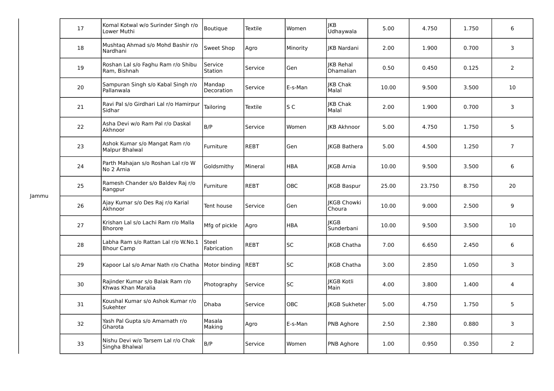|       | 17 | Komal Kotwal w/o Surinder Singh r/o<br>Lower Muthi         | Boutique             | <b>Textile</b> | Women      | IKB<br>Udhaywala                     | 5.00  | 4.750  | 1.750 | 6                |
|-------|----|------------------------------------------------------------|----------------------|----------------|------------|--------------------------------------|-------|--------|-------|------------------|
|       | 18 | Mushtaq Ahmad s/o Mohd Bashir r/o<br>Nardhani              | Sweet Shop           | Agro           | Minority   | <b>IKB Nardani</b>                   | 2.00  | 1.900  | 0.700 | 3                |
|       | 19 | Roshan Lal s/o Faghu Ram r/o Shibu<br>Ram, Bishnah         | Service<br>Station   | Service        | Gen        | <b>IKB</b> Rehal<br><b>Dhamalian</b> | 0.50  | 0.450  | 0.125 | $\overline{2}$   |
|       | 20 | Sampuran Singh s/o Kabal Singh r/o<br>Pallanwala           | Mandap<br>Decoration | Service        | E-s-Man    | JKB Chak<br>Malal                    | 10.00 | 9.500  | 3.500 | 10               |
|       | 21 | Ravi Pal s/o Girdhari Lal r/o Hamirpur<br>Sidhar           | Tailoring            | Textile        | S C        | JKB Chak<br>Malal                    | 2.00  | 1.900  | 0.700 | 3                |
|       | 22 | Asha Devi w/o Ram Pal r/o Daskal<br>Akhnoor                | B/P                  | Service        | Women      | <b>IKB Akhnoor</b>                   | 5.00  | 4.750  | 1.750 | 5                |
|       | 23 | Ashok Kumar s/o Mangat Ram r/o<br>Malpur Bhalwal           | Furniture            | <b>REBT</b>    | Gen        | JKGB Bathera                         | 5.00  | 4.500  | 1.250 | $\boldsymbol{7}$ |
|       | 24 | Parth Mahajan s/o Roshan Lal r/o W<br>No 2 Arnia           | Goldsmithy           | Mineral        | HBA        | <b>IKGB Arnia</b>                    | 10.00 | 9.500  | 3.500 | 6                |
| Jammu | 25 | Ramesh Chander s/o Baldev Raj r/o<br>Rangpur               | Furniture            | <b>REBT</b>    | OBC        | <b>IKGB Baspur</b>                   | 25.00 | 23.750 | 8.750 | 20               |
|       | 26 | Ajay Kumar s/o Des Raj r/o Karial<br>Akhnoor               | Tent house           | Service        | Gen        | JKGB Chowki<br>Choura                | 10.00 | 9.000  | 2.500 | 9                |
|       | 27 | Krishan Lal s/o Lachi Ram r/o Malla<br><b>Bhorore</b>      | Mfg of pickle        | Agro           | HBA        | <b>JKGB</b><br>Sunderbani            | 10.00 | 9.500  | 3.500 | 10               |
|       | 28 | Labha Ram s/o Rattan Lal r/o W.No.1<br><b>Bhour Camp</b>   | Steel<br>Fabrication | REBT           | SC         | <b>IKGB Chatha</b>                   | 7.00  | 6.650  | 2.450 | 6                |
|       | 29 | Kapoor Lal s/o Amar Nath r/o Chatha   Motor binding   REBT |                      |                | <b>SC</b>  | <b>IKGB Chatha</b>                   | 3.00  | 2.850  | 1.050 | 3                |
|       | 30 | Rajinder Kumar s/o Balak Ram r/o<br>Khwas Khan Maralia     | Photography          | Service        | SC         | <b>JKGB Kotli</b><br>Main            | 4.00  | 3.800  | 1.400 | $\overline{4}$   |
|       | 31 | Koushal Kumar s/o Ashok Kumar r/o<br>Sukehter              | Dhaba                | Service        | <b>OBC</b> | IKGB Sukheter                        | 5.00  | 4.750  | 1.750 | 5                |
|       | 32 | Yash Pal Gupta s/o Amarnath r/o<br>Gharota                 | Masala<br>Making     | Agro           | E-s-Man    | PNB Aghore                           | 2.50  | 2.380  | 0.880 | 3                |
|       | 33 | Nishu Devi w/o Tarsem Lal r/o Chak<br>Singha Bhalwal       | B/P                  | Service        | Women      | PNB Aghore                           | 1.00  | 0.950  | 0.350 | $\overline{2}$   |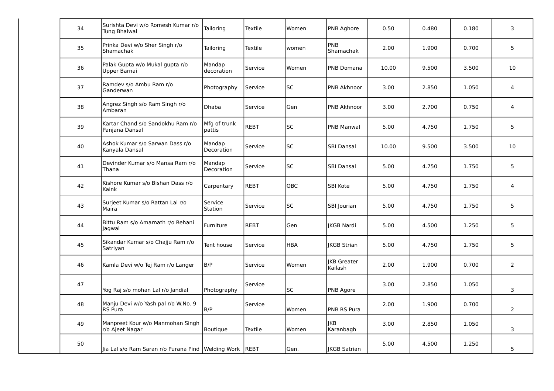| 34 | Surishta Devi w/o Romesh Kumar r/o<br>Tung Bhalwal          | Tailoring              | Textile | Women      | PNB Aghore                    | 0.50  | 0.480 | 0.180 | 3                       |
|----|-------------------------------------------------------------|------------------------|---------|------------|-------------------------------|-------|-------|-------|-------------------------|
| 35 | Prinka Devi w/o Sher Singh r/o<br>Shamachak                 | Tailoring              | Textile | women      | PNB<br>Shamachak              | 2.00  | 1.900 | 0.700 | 5                       |
| 36 | Palak Gupta w/o Mukal gupta r/o<br>Upper Barnai             | Mandap<br>decoration   | Service | Women      | PNB Domana                    | 10.00 | 9.500 | 3.500 | 10                      |
| 37 | Ramdev s/o Ambu Ram r/o<br>Ganderwan                        | Photography            | Service | <b>SC</b>  | PNB Akhnoor                   | 3.00  | 2.850 | 1.050 | $\overline{4}$          |
| 38 | Angrez Singh s/o Ram Singh r/o<br>Ambaran                   | <b>Dhaba</b>           | Service | Gen        | PNB Akhnoor                   | 3.00  | 2.700 | 0.750 | $\overline{4}$          |
| 39 | Kartar Chand s/o Sandokhu Ram r/o<br>Panjana Dansal         | Mfg of trunk<br>pattis | REBT    | <b>SC</b>  | <b>PNB Manwal</b>             | 5.00  | 4.750 | 1.750 | 5                       |
| 40 | Ashok Kumar s/o Sarwan Dass r/o<br>Kanyala Dansal           | Mandap<br>Decoration   | Service | SC         | <b>SBI Dansal</b>             | 10.00 | 9.500 | 3.500 | 10                      |
| 41 | Devinder Kumar s/o Mansa Ram r/o<br>Thana                   | Mandap<br>Decoration   | Service | <b>SC</b>  | <b>SBI Dansal</b>             | 5.00  | 4.750 | 1.750 | 5                       |
| 42 | Kishore Kumar s/o Bishan Dass r/o<br>Kaink                  | Carpentary             | REBT    | OBC        | SBI Kote                      | 5.00  | 4.750 | 1.750 | $\overline{\mathbf{4}}$ |
| 43 | Surjeet Kumar s/o Rattan Lal r/o<br>Maira                   | Service<br>Station     | Service | <b>SC</b>  | SBI Jourian                   | 5.00  | 4.750 | 1.750 | 5                       |
| 44 | Bittu Ram s/o Amarnath r/o Rehani<br>Jagwal                 | Furniture              | REBT    | Gen        | <b>IKGB Nardi</b>             | 5.00  | 4.500 | 1.250 | 5                       |
| 45 | Sikandar Kumar s/o Chajju Ram r/o<br>Satriyan               | Tent house             | Service | <b>HBA</b> | <b>IKGB Strian</b>            | 5.00  | 4.750 | 1.750 | 5                       |
| 46 | Kamla Devi w/o Tej Ram r/o Langer                           | B/P                    | Service | Women      | <b>IKB Greater</b><br>Kailash | 2.00  | 1.900 | 0.700 | $\overline{2}$          |
| 47 | Yog Raj s/o mohan Lal r/o Jandial                           | Photography            | Service | SC         | PNB Agore                     | 3.00  | 2.850 | 1.050 | 3                       |
| 48 | Manju Devi w/o Yash pal r/o W.No. 9<br><b>RS</b> Pura       | B/P                    | Service | Women      | PNB RS Pura                   | 2.00  | 1.900 | 0.700 | $\overline{2}$          |
| 49 | Manpreet Kour w/o Manmohan Singh<br>r/o Ajeet Nagar         | Boutique               | Textile | Women      | <b>JKB</b><br>Karanbagh       | 3.00  | 2.850 | 1.050 | 3                       |
| 50 | Jia Lal s/o Ram Saran r/o Purana Pind   Welding Work   REBT |                        |         | Gen.       | <b>IKGB Satrian</b>           | 5.00  | 4.500 | 1.250 | 5                       |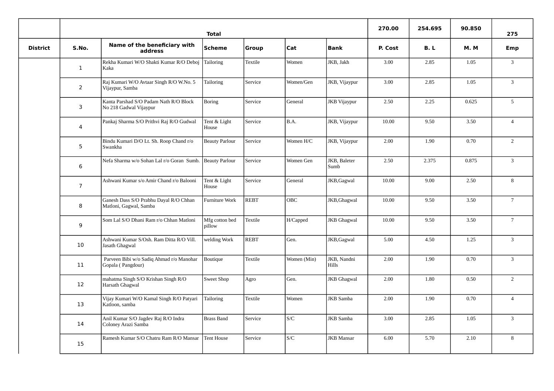|                 |                |                                                                  | <b>Total</b>             |              | 270.00      | 254.695              | 90.850  | 275   |            |                 |
|-----------------|----------------|------------------------------------------------------------------|--------------------------|--------------|-------------|----------------------|---------|-------|------------|-----------------|
| <b>District</b> | S.No.          | Name of the beneficiary with<br>address                          | <b>Scheme</b>            | <b>Group</b> | Cat         | <b>Bank</b>          | P. Cost | B. L  | <b>M.M</b> | Emp             |
|                 | $\mathbf{1}$   | Rekha Kumari W/O Shakti Kumar R/O Deboj<br>Kaka                  | Tailoring                | Textile      | Women       | JKB, Jakh            | 3.00    | 2.85  | 1.05       | $\overline{3}$  |
|                 | 2              | Raj Kumari W/O Avtaar Singh R/O W.No. 5<br>Vijaypur, Samba       | Tailoring                | Service      | Women/Gen   | JKB, Vijaypur        | 3.00    | 2.85  | 1.05       | $\overline{3}$  |
|                 | 3              | Kanta Parshad S/O Padam Nath R/O Block<br>No 218 Gadwal Vijaypur | <b>Boring</b>            | Service      | General     | JKB Vijaypur         | 2.50    | 2.25  | 0.625      | 5               |
|                 | 4              | Pankaj Sharma S/O Prithvi Raj R/O Gudwal                         | Tent & Light<br>House    | Service      | B.A.        | JKB, Vijaypur        | 10.00   | 9.50  | 3.50       | $\overline{4}$  |
|                 | 5              | Bindu Kumari D/O Lt. Sh. Roop Chand r/o<br>Swankha               | <b>Beauty Parlour</b>    | Service      | Women H/C   | JKB, Vijaypur        | 2.00    | 1.90  | 0.70       | $\overline{2}$  |
|                 | 6              | Nefa Sharma w/o Sohan Lal r/o Goran Sumb.                        | <b>Beauty Parlour</b>    | Service      | Women Gen   | JKB, Baleter<br>Sumb | 2.50    | 2.375 | 0.875      | $\mathsf 3$     |
|                 | $\overline{7}$ | Ashwani Kumar s/o Amir Chand r/o Balooni                         | Tent & Light<br>House    | Service      | General     | JKB, Gagwal          | 10.00   | 9.00  | 2.50       | 8               |
|                 | 8              | Ganesh Dass S/O Prabhu Dayal R/O Chhan<br>Matloni, Gagwal, Samba | <b>Furniture Work</b>    | <b>REBT</b>  | <b>OBC</b>  | JKB, Ghagwal         | 10.00   | 9.50  | 3.50       | $7\overline{ }$ |
|                 | 9              | Som Lal S/O Dhani Ram r/o Chhan Matloni                          | Mfg cotton bed<br>pillow | Textile      | H/Capped    | <b>JKB</b> Ghagwal   | 10.00   | 9.50  | 3.50       | $7^{\circ}$     |
|                 | 10             | Ashwani Kumar S/Osh. Ram Ditta R/O Vill.<br>Jasath Ghagwal       | welding Work             | <b>REBT</b>  | Gen.        | JKB, Gagwal          | 5.00    | 4.50  | 1.25       | $\overline{3}$  |
|                 | 11             | Parveen Bibi w/o Sadiq Ahmad r/o Manohar<br>Gopala (Pangdour)    | Boutique                 | Textile      | Women (Min) | JKB, Nandni<br>Hills | 2.00    | 1.90  | 0.70       | $\overline{3}$  |
|                 | 12             | mahatma Singh S/O Krishan Singh R/O<br>Harsath Ghagwal           | Sweet Shop               | Agro         | Gen.        | <b>JKB</b> Ghagwal   | 2.00    | 1.80  | 0.50       | $\overline{2}$  |
|                 | 13             | Vijay Kumari W/O Kamal Singh R/O Patyari<br>Katloon, samba       | Tailoring                | Textile      | Women       | <b>JKB</b> Samba     | 2.00    | 1.90  | 0.70       | $\overline{4}$  |
|                 | 14             | Anil Kumar S/O Jagdev Raj R/O Indra<br>Coloney Arazi Samba       | <b>Brass Band</b>        | Service      | S/C         | <b>JKB</b> Samba     | 3.00    | 2.85  | 1.05       | $\overline{3}$  |
|                 | 15             | Ramesh Kumar S/O Chatru Ram R/O Mansar                           | <b>Tent House</b>        | Service      | S/C         | <b>JKB</b> Mansar    | 6.00    | 5.70  | 2.10       | 8               |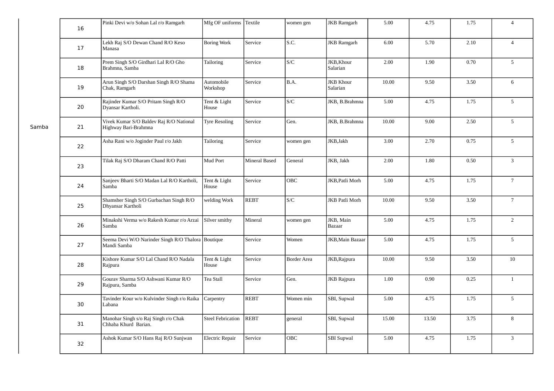|       | 16 | Pinki Devi w/o Sohan Lal r/o Ramgarh                              | Mfg OF uniforms Textile  |                      | women gen               | <b>JKB</b> Ramgarh           | 5.00  | 4.75  | 1.75 | $\overline{4}$  |
|-------|----|-------------------------------------------------------------------|--------------------------|----------------------|-------------------------|------------------------------|-------|-------|------|-----------------|
|       | 17 | Lekh Raj S/O Dewan Chand R/O Keso<br>Manasa                       | <b>Boring Work</b>       | Service              | S.C.                    | <b>JKB</b> Ramgarh           | 6.00  | 5.70  | 2.10 | $\overline{4}$  |
|       | 18 | Prem Singh S/O Girdhari Lal R/O Gho<br>Brahmna, Samba             | Tailoring                | Service              | $\mathsf{S}/\mathsf{C}$ | JKB, Khour<br>Salarian       | 2.00  | 1.90  | 0.70 | 5               |
|       | 19 | Arun Singh S/O Darshan Singh R/O Shama<br>Chak, Ramgarh           | Automobile<br>Workshop   | Service              | B.A.                    | <b>JKB Khour</b><br>Salarian | 10.00 | 9.50  | 3.50 | 6               |
|       | 20 | Rajinder Kumar S/O Pritam Singh R/O<br>Dyansar Kartholi.          | Tent & Light<br>House    | Service              | $\mathsf{S}/\mathsf{C}$ | JKB, B.Brahmna               | 5.00  | 4.75  | 1.75 | $5\phantom{.}$  |
| Samba | 21 | Vivek Kumar S/O Baldev Raj R/O National<br>Highway Bari-Brahmna   | <b>Tyre Resoling</b>     | Service              | Gen.                    | JKB, B.Brahmna               | 10.00 | 9.00  | 2.50 | 5               |
|       | 22 | Asha Rani w/o Joginder Paul r/o Jakh                              | Tailoring                | Service              | women gen               | JKB, Jakh                    | 3.00  | 2.70  | 0.75 | 5               |
|       | 23 | Tilak Raj S/O Dharam Chand R/O Patti                              | Mud Port                 | <b>Mineral Based</b> | General                 | JKB, Jakh                    | 2.00  | 1.80  | 0.50 | $\mathbf{3}$    |
|       | 24 | Sanjeev Bharti S/O Madan Lal R/O Kartholi,<br>Samba               | Tent & Light<br>House    | Service              | OBC                     | JKB, Patli Morh              | 5.00  | 4.75  | 1.75 | $\sqrt{7}$      |
|       | 25 | Shamsher Singh S/O Gurbachan Singh R/O<br>Dhyansar Kartholi       | welding Work             | <b>REBT</b>          | S/C                     | <b>JKB Patli Morh</b>        | 10.00 | 9.50  | 3.50 | $7\overline{ }$ |
|       | 26 | Minakshi Verma w/o Rakesh Kumar r/o Arzai<br>Samba                | Silver smithy            | Mineral              | women gen               | JKB, Main<br>Bazaar          | 5.00  | 4.75  | 1.75 | $\overline{2}$  |
|       | 27 | Seema Devi W/O Narinder Singh R/O Thalora Boutique<br>Mandi Samba |                          | Service              | Women                   | JKB, Main Bazaar             | 5.00  | 4.75  | 1.75 | 5               |
|       | 28 | Kishore Kumar S/O Lal Chand R/O Nadala<br>Rajpura                 | Tent & Light<br>House    | Service              | <b>Border Area</b>      | JKB, Rajpura                 | 10.00 | 9.50  | 3.50 | 10              |
|       | 29 | Gourav Sharma S/O Ashwani Kumar R/O<br>Rajpura, Samba             | Tea Stall                | Service              | Gen.                    | <b>JKB</b> Rajpura           | 1.00  | 0.90  | 0.25 | $\mathbf{1}$    |
|       | 30 | Tavinder Kour w/o Kulvinder Singh r/o Raika<br>Labana             | Carpentry                | <b>REBT</b>          | Women min               | SBI, Supwal                  | 5.00  | 4.75  | 1.75 | 5               |
|       | 31 | Manohar Singh s/o Raj Singh r/o Chak<br>Chhaba Khurd Barian.      | <b>Steel Febrication</b> | <b>REBT</b>          | general                 | SBI, Supwal                  | 15.00 | 13.50 | 3.75 | 8               |
|       | 32 | Ashok Kumar S/O Hans Raj R/O Sunjwan                              | Electric Repair          | Service              | OBC                     | <b>SBI</b> Supwal            | 5.00  | 4.75  | 1.75 | 3               |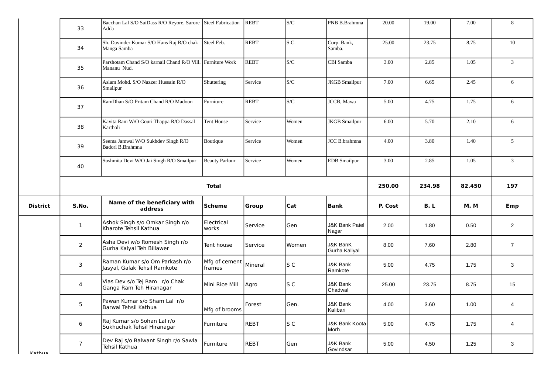|                 | 33             | Bacchan Lal S/O SaiDass R/O Reyore, Sarore Steel Fabrication<br>Adda      |                         | REBT        | S/C                     | PNB B.Brahmna                        | 20.00   | 19.00  | 7.00       | 8              |
|-----------------|----------------|---------------------------------------------------------------------------|-------------------------|-------------|-------------------------|--------------------------------------|---------|--------|------------|----------------|
|                 | 34             | Sh. Davinder Kumar S/O Hans Raj R/O chak<br>Manga Samba                   | Steel Feb.              | <b>REBT</b> | S.C.                    | Corp. Bank,<br>Samba.                | 25.00   | 23.75  | 8.75       | 10             |
|                 | 35             | Parshotam Chand S/O karnail Chand R/O Vill. Furniture Work<br>Mananu Nud. |                         | <b>REBT</b> | $\mathbb{S}/\mathbb{C}$ | CBI Samba                            | 3.00    | 2.85   | 1.05       | $\mathbf{3}$   |
|                 | 36             | Aslam Mohd. S/O Nazzer Hussain R/O<br>Smailpur                            | Shuttering              | Service     | S/C                     | <b>JKGB</b> Smailpur                 | 7.00    | 6.65   | 2.45       | 6              |
|                 | 37             | RamDhan S/O Pritam Chand R/O Madoon                                       | Furniture               | <b>REBT</b> | S/C                     | JCCB, Mawa                           | 5.00    | 4.75   | 1.75       | 6              |
|                 | 38             | Kavita Rani W/O Gouri Thappa R/O Dassal<br>Kartholi                       | Tent House              | Service     | Women                   | <b>JKGB</b> Smailpur                 | 6.00    | 5.70   | 2.10       | 6              |
|                 | 39             | Seema Jamwal W/O Sukhdev Singh R/O<br>Badori B.Brahmna                    | Boutique                | Service     | Women                   | JCC B.brahmna                        | 4.00    | 3.80   | 1.40       | 5              |
|                 | 40             | Sushmita Devi W/O Jai Singh R/O Smailpur                                  | <b>Beauty Parlour</b>   | Service     | Women                   | <b>EDB</b> Smailpur                  | 3.00    | 2.85   | 1.05       | $\mathbf{3}$   |
|                 |                |                                                                           | <b>Total</b>            |             |                         |                                      | 250.00  | 234.98 | 82.450     | 197            |
|                 |                |                                                                           |                         |             |                         |                                      |         |        |            |                |
| <b>District</b> | S.No.          | Name of the beneficiary with<br>address                                   | Scheme                  | Group       | Cat                     | <b>Bank</b>                          | P. Cost | B. L   | <b>M.M</b> | Emp            |
|                 | $\mathbf{1}$   | Ashok Singh s/o Omkar Singh r/o<br>Kharote Tehsil Kathua                  | Electrical<br>works     | Service     | Gen                     | <b>J&amp;K Bank Patel</b><br>Nagar   | 2.00    | 1.80   | 0.50       | $\overline{2}$ |
|                 | $\overline{2}$ | Asha Devi w/o Romesh Singh r/o<br>Gurha Kalyal Teh Billawer               | Tent house              | Service     | Women                   | <b>J&amp;K BanK</b><br>Gurha Kallyal | 8.00    | 7.60   | 2.80       | $\overline{7}$ |
|                 | 3              | Raman Kumar s/o Om Parkash r/o<br>Jasyal, Galak Tehsil Ramkote            | Mfg of cement<br>frames | Mineral     | S C                     | <b>J&amp;K Bank</b><br>Ramkote       | 5.00    | 4.75   | 1.75       | 3              |
|                 | 4              | Vias Dev s/o Tej Ram r/o Chak<br>Ganga Ram Teh Hiranagar                  | Mini Rice Mill          | Agro        | S C                     | <b>J&amp;K Bank</b><br>Chadwal       | 25.00   | 23.75  | 8.75       | 15             |
|                 | 5              | Pawan Kumar s/o Sham Lal r/o<br>Barwal Tehsil Kathua                      | Mfg of brooms           | Forest      | Gen.                    | <b>J&amp;K Bank</b><br>Kalibari      | 4.00    | 3.60   | 1.00       | $\overline{4}$ |
|                 | 6              | Raj Kumar s/o Sohan Lal r/o<br>Sukhuchak Tehsil Hiranagar                 | Furniture               | <b>REBT</b> | S C                     | <b>J&amp;K Bank Koota</b><br>Morh    | 5.00    | 4.75   | 1.75       | 4              |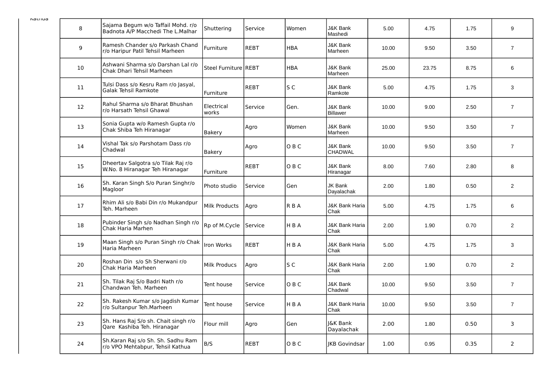| Natilua | 8                | Sajama Begum w/o Taffail Mohd. r/o<br>Badnota A/P Macchedi The L.Malhar | Shuttering           | Service      | Women      | <b>J&amp;K Bank</b><br>Mashedi         | 5.00  | 4.75  | 1.75 | 9              |
|---------|------------------|-------------------------------------------------------------------------|----------------------|--------------|------------|----------------------------------------|-------|-------|------|----------------|
|         | $\boldsymbol{9}$ | Ramesh Chander s/o Parkash Chand<br>r/o Haripur Patil Tehsil Marheen    | Furniture            | <b>REBT</b>  | <b>HBA</b> | <b>J&amp;K Bank</b><br>Marheen         | 10.00 | 9.50  | 3.50 | $\overline{7}$ |
|         | 10               | Ashwani Sharma s/o Darshan Lal r/o<br>Chak Dhari Tehsil Marheen         | Steel Furniture REBT |              | <b>HBA</b> | <b>J&amp;K Bank</b><br>Marheen         | 25.00 | 23.75 | 8.75 | 6              |
|         | 11               | Tulsi Dass s/o Kesru Ram r/o Jasyal,<br>Galak Tehsil Ramkote            | Furniture            | REBT         | S C        | <b>J&amp;K Bank</b><br>Ramkote         | 5.00  | 4.75  | 1.75 | 3              |
|         | 12               | Rahul Sharma s/o Bharat Bhushan<br>r/o Harsath Tehsil Ghawal            | Electrical<br>works  | Service      | Gen.       | <b>J&amp;K Bank</b><br><b>Billawer</b> | 10.00 | 9.00  | 2.50 | $\overline{7}$ |
|         | 13               | Sonia Gupta w/o Ramesh Gupta r/o<br>Chak Shiba Teh Hiranagar            | Bakery               | Agro         | Women      | <b>J&amp;K Bank</b><br>Marheen         | 10.00 | 9.50  | 3.50 | $\overline{7}$ |
|         | 14               | Vishal Tak s/o Parshotam Dass r/o<br>Chadwal                            | Bakery               | Agro         | OBC        | <b>J&amp;K Bank</b><br><b>CHADWAL</b>  | 10.00 | 9.50  | 3.50 | $\overline{7}$ |
|         | 15               | Dheertav Salgotra s/o Tilak Raj r/o<br>W.No. 8 Hiranagar Teh Hiranagar  | Furniture            | <b>REBT</b>  | OBC        | <b>J&amp;K Bank</b><br>Hiranagar       | 8.00  | 7.60  | 2.80 | 8              |
|         | 16               | Sh. Karan Singh S/o Puran Singhr/o<br>Magloor                           | Photo studio         | lService     | Gen        | JK Bank<br>Dayalachak                  | 2.00  | 1.80  | 0.50 | $\overline{2}$ |
|         | 17               | Rhim Ali s/o Babi Din r/o Mukandpur<br>Teh. Marheen                     | Milk Products        | Agro         | <b>RBA</b> | <b>J&amp;K Bank Haria</b><br>Chak      | 5.00  | 4.75  | 1.75 | 6              |
|         | 18               | Pubinder Singh s/o Nadhan Singh r/o<br>Chak Haria Marhen                | Rp of M.Cycle        | Service      | HBA        | <b>J&amp;K Bank Haria</b><br>Chak      | 2.00  | 1.90  | 0.70 | $\overline{2}$ |
|         | 19               | Maan Singh s/o Puran Singh r/o Chak<br>Haria Marheen                    | Iron Works           | <b>IREBT</b> | <b>HBA</b> | <b>J&amp;K Bank Haria</b><br>Chak      | 5.00  | 4.75  | 1.75 | 3              |
|         | 20               | Roshan Din s/o Sh Sherwani r/o<br>Chak Haria Marheen                    | Milk Producs         | Agro         | S C        | <b>J&amp;K Bank Haria</b><br> Chak     | 2.00  | 1.90  | 0.70 | $\overline{2}$ |
|         | 21               | Sh. Tilak Raj S/o Badri Nath r/o<br>Chandwan Teh. Marheen               | Tent house           | Service      | OBC        | <b>J&amp;K Bank</b><br>Chadwal         | 10.00 | 9.50  | 3.50 | $\overline{7}$ |
|         | 22               | Sh. Rakesh Kumar s/o Jagdish Kumar<br>r/o Sultanpur Teh.Marheen         | Tent house           | Service      | HBA        | <b>J&amp;K Bank Haria</b><br>Chak      | 10.00 | 9.50  | 3.50 | $\overline{7}$ |
|         | 23               | Sh. Hans Raj S/o sh. Chait singh r/o<br>Qare Kashiba Teh. Hiranagar     | Flour mill           | Agro         | Gen        | <b>I&amp;K Bank</b><br>Dayalachak      | 2.00  | 1.80  | 0.50 | 3              |
|         | 24               | Sh.Karan Raj s/o Sh. Sh. Sadhu Ram<br>r/o VPO Mehtabpur, Tehsil Kathua  | B/S                  | <b>REBT</b>  | OBC        | <b>IKB Govindsar</b>                   | 1.00  | 0.95  | 0.35 | $\overline{2}$ |
|         |                  |                                                                         |                      |              |            |                                        |       |       |      |                |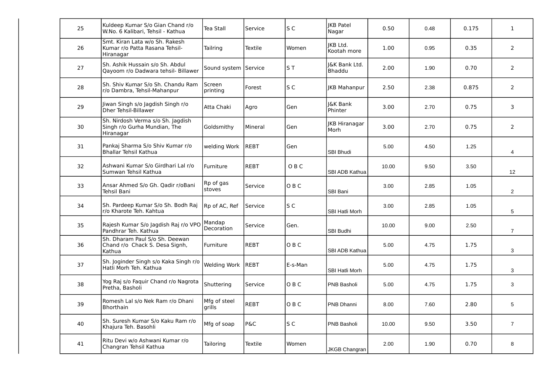| 25 | Kuldeep Kumar S/o Gian Chand r/o<br>W.No. 6 Kalibari, Tehsil - Kathua          | Tea Stall              | Service        | S C            | JKB Patel<br>Nagar             | 0.50  | 0.48 | 0.175 | $\mathbf{1}$   |
|----|--------------------------------------------------------------------------------|------------------------|----------------|----------------|--------------------------------|-------|------|-------|----------------|
| 26 | Smt. Kiran Lata w/o Sh. Rakesh<br>Kumar r/o Patta Rasana Tehsil-<br>Hiranagar  | Tailring               | Textile        | Women          | <b>JKB Ltd.</b><br>Kootah more | 1.00  | 0.95 | 0.35  | 2              |
| 27 | Sh. Ashik Hussain s/o Sh. Abdul<br>Qayoom r/o Dadwara tehsil- Billawer         | Sound system Service   |                | ST             | I&K Bank Ltd.<br>Bhaddu        | 2.00  | 1.90 | 0.70  | $\overline{2}$ |
| 28 | Sh. Shiv Kumar S/o Sh. Chandu Ram<br>r/o Dambra, Tehsil-Mahanpur               | Screen<br>printing     | Forest         | S C            | <b>JKB Mahanpur</b>            | 2.50  | 2.38 | 0.875 | $\overline{2}$ |
| 29 | Jiwan Singh s/o Jagdish Singh r/o<br><b>Dher Tehsil-Billawer</b>               | Atta Chaki             | Agro           | Gen            | <b>I&amp;K Bank</b><br>Phinter | 3.00  | 2.70 | 0.75  | 3              |
| 30 | Sh. Nirdosh Verma s/o Sh. Jagdish<br>Singh r/o Gurha Mundian, The<br>Hiranagar | Goldsmithy             | Mineral        | Gen            | <b>JKB Hiranagar</b><br>Morh   | 3.00  | 2.70 | 0.75  | $\overline{2}$ |
| 31 | Pankaj Sharma S/o Shiv Kumar r/o<br>Bhallar Tehsil Kathua                      | welding Work           | REBT           | Gen            | SBI Bhudi                      | 5.00  | 4.50 | 1.25  | 4              |
| 32 | Ashwani Kumar S/o Girdhari Lal r/o<br>Sumwan Tehsil Kathua                     | Furniture              | <b>REBT</b>    | OBC            | SBI ADB Kathua                 | 10.00 | 9.50 | 3.50  | 12             |
| 33 | Ansar Ahmed S/o Gh. Qadir r/oBani<br>Tehsil Bani                               | Rp of gas<br>stoves    | Service        | O B C          | SBI Bani                       | 3.00  | 2.85 | 1.05  | $\overline{2}$ |
| 34 | Sh. Pardeep Kumar S/o Sh. Bodh Raj<br>r/o Kharote Teh. Kahtua                  | Rp of AC, Ref          | Service        | S <sub>C</sub> | <b>SBI Hatli Morh</b>          | 3.00  | 2.85 | 1.05  | 5              |
| 35 | Rajesh Kumar S/o Jagdish Raj r/o VPO<br>Pandhrar Teh. Kathua                   | Mandap<br>Decoration   | Service        | Gen.           | SBI Budhi                      | 10.00 | 9.00 | 2.50  | $\overline{7}$ |
| 36 | Sh. Dharam Paul S/o Sh. Deewan<br>Chand r/o Chack S. Desa Signh,<br>Kathua     | Furniture              | REBT           | OBC            | SBI ADB Kathua                 | 5.00  | 4.75 | 1.75  | 3              |
| 37 | Sh. Joginder Singh s/o Kaka Singh r/o<br>Hatli Morh Teh. Kathua                | Welding Work REBT      |                | E-s-Man        | <b>SBI Hatli Morh</b>          | 5.00  | 4.75 | 1.75  | 3              |
| 38 | Yog Raj s/o Faquir Chand r/o Nagrota<br>Pretha, Basholi                        | Shuttering             | Service        | OBC            | PNB Basholi                    | 5.00  | 4.75 | 1.75  | 3              |
| 39 | Romesh Lal s/o Nek Ram r/o Dhani<br><b>Bhorthain</b>                           | Mfg of steel<br>grills | <b>REBT</b>    | OBC            | PNB Dhanni                     | 8.00  | 7.60 | 2.80  | 5              |
| 40 | Sh. Suresh Kumar S/o Kaku Ram r/o<br>Khajura Teh. Basohli                      | Mfg of soap            | <b>P&amp;C</b> | S C            | PNB Basholi                    | 10.00 | 9.50 | 3.50  | $\overline{7}$ |
| 41 | Ritu Devi w/o Ashwani Kumar r/o<br>Changran Tehsil Kathua                      | Tailoring              | Textile        | Women          | <b>JKGB Changran</b>           | 2.00  | 1.90 | 0.70  | 8              |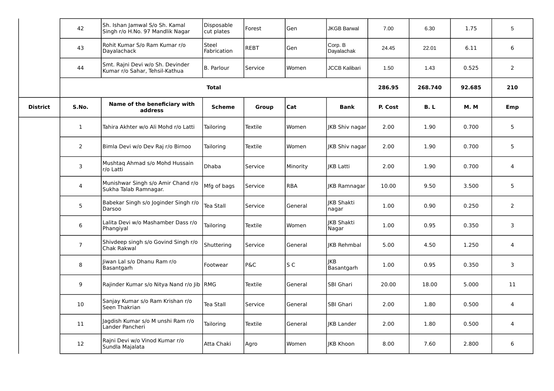|                 | 42             | Sh. Ishan Jamwal S/o Sh. Kamal<br>Singh r/o H.No. 97 Mandlik Nagar | Disposable<br>cut plates | Forest       | Gen            | <b>JKGB Barwal</b>         | 7.00    | 6.30    | 1.75       | 5              |
|-----------------|----------------|--------------------------------------------------------------------|--------------------------|--------------|----------------|----------------------------|---------|---------|------------|----------------|
|                 | 43             | Rohit Kumar S/o Ram Kumar r/o<br><b>Dayalachack</b>                | Steel<br>Fabrication     | <b>REBT</b>  | Gen            | Corp. B<br>Dayalachak      | 24.45   | 22.01   | 6.11       | 6              |
|                 | 44             | Smt. Rajni Devi w/o Sh. Devinder<br>Kumar r/o Sahar, Tehsil-Kathua | B. Parlour               | Service      | Women          | <b>JCCB Kalibari</b>       | 1.50    | 1.43    | 0.525      | $\overline{2}$ |
|                 |                |                                                                    | <b>Total</b>             |              |                |                            | 286.95  | 268.740 | 92.685     | 210            |
| <b>District</b> | S.No.          | Name of the beneficiary with<br>address                            | <b>Scheme</b>            | <b>Group</b> | Cat            | <b>Bank</b>                | P. Cost | B.L     | <b>M.M</b> | Emp            |
|                 | $\mathbf{1}$   | Tahira Akhter w/o Ali Mohd r/o Latti                               | Tailoring                | Textile      | Women          | IKB Shiv nagar             | 2.00    | 1.90    | 0.700      | 5              |
|                 | $\overline{2}$ | Bimla Devi w/o Dev Raj r/o Birnoo                                  | Tailoring                | Textile      | Women          | <b>IKB Shiv nagar</b>      | 2.00    | 1.90    | 0.700      | 5              |
|                 | 3              | Mushtag Ahmad s/o Mohd Hussain<br>r/o Latti                        | Dhaba                    | Service      | Minority       | JKB Latti                  | 2.00    | 1.90    | 0.700      | 4              |
|                 | 4              | Munishwar Singh s/o Amir Chand r/o<br>Sukha Talab Ramnagar.        | Mfg of bags              | Service      | <b>RBA</b>     | <b>IKB Ramnagar</b>        | 10.00   | 9.50    | 3.500      | 5              |
|                 | 5              | Babekar Singh s/o Joginder Singh r/o<br>Darsoo                     | Tea Stall                | Service      | General        | JKB Shakti<br>nagar        | 1.00    | 0.90    | 0.250      | $\overline{2}$ |
|                 | 6              | Lalita Devi w/o Mashamber Dass r/o<br>Phangiyal                    | Tailoring                | Textile      | Women          | <b>IKB Shakti</b><br>Nagar | 1.00    | 0.95    | 0.350      | 3              |
|                 | $\overline{7}$ | Shivdeep singh s/o Govind Singh r/o<br>Chak Rakwal                 | Shuttering               | Service      | General        | <b>IKB Rehmbal</b>         | 5.00    | 4.50    | 1.250      | $\overline{4}$ |
|                 | 8              | Jiwan Lal s/o Dhanu Ram r/o<br>Basantgarh                          | Footwear                 | P&C          | S <sub>C</sub> | <b>IKB</b><br>Basantgarh   | 1.00    | 0.95    | 0.350      | 3              |
|                 | 9              | Rajinder Kumar s/o Nitya Nand r/o Jib   RMG                        |                          | Textile      | General        | SBI Ghari                  | 20.00   | 18.00   | 5.000      | 11             |
|                 | 10             | Sanjay Kumar s/o Ram Krishan r/o<br>Seen Thakrian                  | Tea Stall                | Service      | General        | SBI Ghari                  | 2.00    | 1.80    | 0.500      | 4              |
|                 | 11             | Jagdish Kumar s/o M unshi Ram r/o<br>Lander Pancheri               | Tailoring                | Textile      | General        | IKB Lander                 | 2.00    | 1.80    | 0.500      | $\overline{4}$ |
|                 | 12             | Rajni Devi w/o Vinod Kumar r/o<br>Sundla Majalata                  | Atta Chaki               | Agro         | Women          | <b>IKB Khoon</b>           | 8.00    | 7.60    | 2.800      | 6              |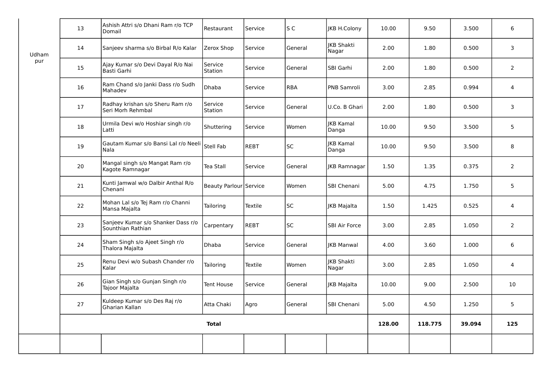|       | 13 | Ashish Attri s/o Dhani Ram r/o TCP<br>Domail            | Restaurant             | Service        | S C       | JKB H.Colony               | 10.00  | 9.50    | 3.500  | 6              |
|-------|----|---------------------------------------------------------|------------------------|----------------|-----------|----------------------------|--------|---------|--------|----------------|
| Udham | 14 | Sanjeev sharma s/o Birbal R/o Kalar                     | Zerox Shop             | Service        | General   | JKB Shakti<br>Nagar        | 2.00   | 1.80    | 0.500  | 3              |
| pur   | 15 | Ajay Kumar s/o Devi Dayal R/o Nai<br>Basti Garhi        | Service<br>Station     | Service        | General   | SBI Garhi                  | 2.00   | 1.80    | 0.500  | $\overline{2}$ |
|       | 16 | Ram Chand s/o Janki Dass r/o Sudh<br>Mahadev            | Dhaba                  | Service        | RBA       | PNB Samroli                | 3.00   | 2.85    | 0.994  | $\overline{4}$ |
|       | 17 | Radhay krishan s/o Sheru Ram r/o<br>Seri Morh Rehmbal   | Service<br>Station     | Service        | General   | U.Co. B Ghari              | 2.00   | 1.80    | 0.500  | 3              |
|       | 18 | Urmila Devi w/o Hoshiar singh r/o<br>Latti              | Shuttering             | Service        | Women     | <b>JKB Kamal</b><br>Danga  | 10.00  | 9.50    | 3.500  | 5              |
|       | 19 | Gautam Kumar s/o Bansi Lal r/o Neeli<br>l Nala          | Stell Fab              | REBT           | <b>SC</b> | <b>JKB Kamal</b><br>Danga  | 10.00  | 9.50    | 3.500  | 8              |
|       | 20 | Mangal singh s/o Mangat Ram r/o<br>Kagote Ramnagar      | Tea Stall              | Service        | General   | <b>JKB Ramnagar</b>        | 1.50   | 1.35    | 0.375  | $\overline{2}$ |
|       | 21 | Kunti Jamwal w/o Dalbir Anthal R/o<br>Chenani           | Beauty Parlour Service |                | Women     | SBI Chenani                | 5.00   | 4.75    | 1.750  | 5              |
|       | 22 | Mohan Lal s/o Tej Ram r/o Channi<br>Mansa Majalta       | Tailoring              | Textile        | <b>SC</b> | JKB Majalta                | 1.50   | 1.425   | 0.525  | 4              |
|       | 23 | Sanjeev Kumar s/o Shanker Dass r/o<br>Sounthian Rathian | Carpentary             | REBT           | <b>SC</b> | SBI Air Force              | 3.00   | 2.85    | 1.050  | $\overline{2}$ |
|       | 24 | Sham Singh s/o Ajeet Singh r/o<br>Thalora Majalta       | Dhaba                  | Service        | General   | <b>JKB Manwal</b>          | 4.00   | 3.60    | 1.000  | 6              |
|       | 25 | Renu Devi w/o Subash Chander r/o<br>Kalar               | Tailoring              | <b>Textile</b> | Women     | <b>JKB Shakti</b><br>Nagar | 3.00   | 2.85    | 1.050  | $\overline{4}$ |
|       | 26 | Gian Singh s/o Gunjan Singh r/o<br>Tajoor Majalta       | <b>Tent House</b>      | Service        | General   | <b>JKB Majalta</b>         | 10.00  | 9.00    | 2.500  | 10             |
|       | 27 | Kuldeep Kumar s/o Des Raj r/o<br>Gharian Kallan         | Atta Chaki             | Agro           | General   | <b>SBI Chenani</b>         | 5.00   | 4.50    | 1.250  | 5              |
|       |    |                                                         | <b>Total</b>           |                |           |                            | 128.00 | 118.775 | 39.094 | 125            |
|       |    |                                                         |                        |                |           |                            |        |         |        |                |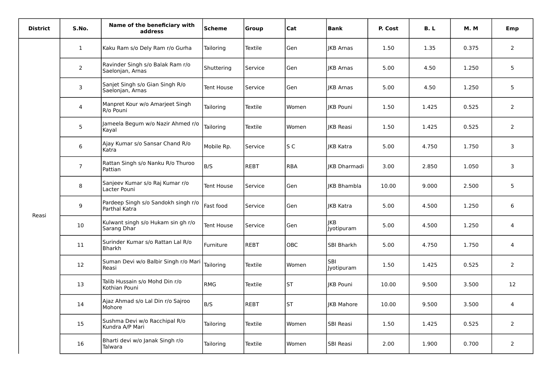| <b>District</b> | S.No.          | Name of the beneficiary with<br>address              | <b>Scheme</b> | Group          | Cat        | <b>Bank</b>         | P. Cost | B.L   | <b>M.M</b> | Emp            |
|-----------------|----------------|------------------------------------------------------|---------------|----------------|------------|---------------------|---------|-------|------------|----------------|
|                 | $\mathbf{1}$   | Kaku Ram s/o Dely Ram r/o Gurha                      | Tailoring     | Textile        | Gen        | <b>IKB Arnas</b>    | 1.50    | 1.35  | 0.375      | 2              |
|                 | 2              | Ravinder Singh s/o Balak Ram r/o<br>Saelonjan, Arnas | Shuttering    | Service        | Gen        | <b>IKB Arnas</b>    | 5.00    | 4.50  | 1.250      | 5              |
|                 | 3              | Sanjet Singh s/o Gian Singh R/o<br>Saelonjan, Arnas  | Tent House    | Service        | Gen        | JKB Arnas           | 5.00    | 4.50  | 1.250      | 5              |
|                 | 4              | Manpret Kour w/o Amarjeet Singh<br>R/o Pouni         | Tailoring     | Textile        | Women      | JKB Pouni           | 1.50    | 1.425 | 0.525      | $\overline{2}$ |
|                 | 5              | Jameela Begum w/o Nazir Ahmed r/o<br>Kayal           | Tailoring     | <b>Textile</b> | Women      | <b>IKB Reasi</b>    | 1.50    | 1.425 | 0.525      | $\overline{2}$ |
|                 | 6              | Ajay Kumar s/o Sansar Chand R/o<br>Katra             | Mobile Rp.    | Service        | S C        | <b>IKB Katra</b>    | 5.00    | 4.750 | 1.750      | 3              |
|                 | $\overline{7}$ | Rattan Singh s/o Nanku R/o Thuroo<br>Pattian         | B/S           | REBT           | <b>RBA</b> | <b>IKB Dharmadi</b> | 3.00    | 2.850 | 1.050      | 3              |
|                 | 8              | Sanjeev Kumar s/o Raj Kumar r/o<br>Lacter Pouni      | Tent House    | Service        | Gen        | <b>IKB Bhambla</b>  | 10.00   | 9.000 | 2.500      | 5              |
| Reasi           | 9              | Pardeep Singh s/o Sandokh singh r/o<br>Parthal Katra | Fast food     | Service        | Gen        | <b>IKB Katra</b>    | 5.00    | 4.500 | 1.250      | 6              |
|                 | 10             | Kulwant singh s/o Hukam sin gh r/o<br>Sarang Dhar    | Tent House    | Service        | Gen        | JKB<br>Jyotipuram   | 5.00    | 4.500 | 1.250      | 4              |
|                 | 11             | Surinder Kumar s/o Rattan Lal R/o<br>Bharkh          | Furniture     | REBT           | OBC        | SBI Bharkh          | 5.00    | 4.750 | 1.750      | 4              |
|                 | 12             | Suman Devi w/o Balbir Singh r/o Mari<br>Reasi        | Tailoring     | Textile        | Women      | SBI<br>Jyotipuram   | 1.50    | 1.425 | 0.525      | $\overline{2}$ |
|                 | 13             | Talib Hussain s/o Mohd Din r/o<br>Kothian Pouni      | <b>RMG</b>    | <b>Textile</b> | <b>ST</b>  | JKB Pouni           | 10.00   | 9.500 | 3.500      | 12             |
|                 | 14             | Ajaz Ahmad s/o Lal Din r/o Sajroo<br>Mohore          | B/S           | <b>REBT</b>    | ST         | <b>IKB Mahore</b>   | 10.00   | 9.500 | 3.500      | $\overline{4}$ |
|                 | 15             | Sushma Devi w/o Racchipal R/o<br>Kundra A/P Mari     | Tailoring     | <b>Textile</b> | Women      | SBI Reasi           | 1.50    | 1.425 | 0.525      | 2              |
|                 | 16             | Bharti devi w/o Janak Singh r/o<br>Talwara           | Tailoring     | Textile        | Women      | <b>SBI Reasi</b>    | 2.00    | 1.900 | 0.700      | $\overline{2}$ |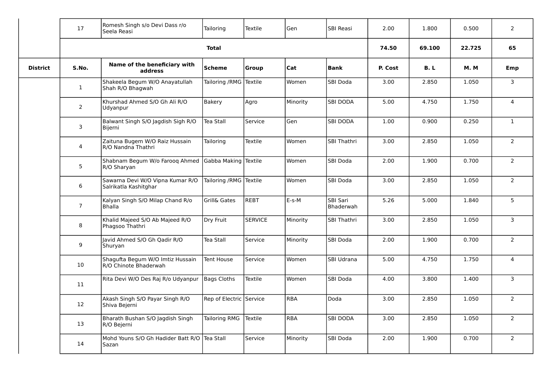|                 | 17             | Romesh Singh s/o Devi Dass r/o<br>Seela Reasi             | Tailoring               | Textile        | Gen        | SBI Reasi             | 2.00    | 1.800  | 0.500      | $\overline{2}$ |
|-----------------|----------------|-----------------------------------------------------------|-------------------------|----------------|------------|-----------------------|---------|--------|------------|----------------|
|                 |                |                                                           | <b>Total</b>            |                |            |                       | 74.50   | 69.100 | 22.725     | 65             |
| <b>District</b> | S.No.          | Name of the beneficiary with<br>address                   | Scheme                  | <b>Group</b>   | Cat        | <b>Bank</b>           | P. Cost | B.L    | <b>M.M</b> | Emp            |
|                 | $\mathbf{1}$   | Shakeela Begum W/O Anayatullah<br>Shah R/O Bhagwah        | Tailoring / RMG Textile |                | Women      | <b>SBI Doda</b>       | 3.00    | 2.850  | 1.050      | 3              |
|                 | $\overline{2}$ | Khurshad Ahmed S/O Gh Ali R/O<br>Udyanpur                 | Bakery                  | Agro           | Minority   | <b>SBI DODA</b>       | 5.00    | 4.750  | 1.750      | $\overline{4}$ |
|                 | 3              | Balwant Singh S/O Jagdish Sigh R/O<br>Bijerni             | Tea Stall               | Service        | Gen        | <b>SBI DODA</b>       | 1.00    | 0.900  | 0.250      | $\mathbf{1}$   |
|                 | 4              | Zaituna Bugem W/O Raiz Hussain<br>R/O Nandna Thathri      | Tailoring               | Textile        | Women      | <b>SBI Thathri</b>    | 3.00    | 2.850  | 1.050      | $\overline{2}$ |
|                 | 5              | Shabnam Begum W/o Farooq Ahmed<br>R/O Sharyan             | Gabba Making Textile    |                | Women      | SBI Doda              | 2.00    | 1.900  | 0.700      | $2^{\circ}$    |
|                 | 6              | Sawarna Devi W/O Vipna Kumar R/O<br>Salrikatla Kashitghar | Tailoring /RMG Textile  |                | Women      | SBI Doda              | 3.00    | 2.850  | 1.050      | $2^{\circ}$    |
|                 | $7^{\circ}$    | Kalyan Singh S/O Milap Chand R/o<br><b>Bhalla</b>         | <b>Grill&amp; Gates</b> | REBT           | E-s-M      | SBI Sari<br>Bhaderwah | 5.26    | 5.000  | 1.840      | 5 <sub>1</sub> |
|                 | 8              | Khalid Majeed S/O Ab Majeed R/O<br>Phagsoo Thathri        | Dry Fruit               | <b>SERVICE</b> | Minority   | SBI Thathri           | 3.00    | 2.850  | 1.050      | $\overline{3}$ |
|                 | 9              | Javid Ahmed S/O Gh Qadir R/O<br>Shuryan                   | Tea Stall               | Service        | Minority   | SBI Doda              | 2.00    | 1.900  | 0.700      | $2^{\circ}$    |
|                 | 10             | Shagufta Begum W/O Imtiz Hussain<br>R/O Chinote Bhaderwah | Tent House              | Service        | Women      | SBI Udrana            | 5.00    | 4.750  | 1.750      | $\overline{4}$ |
|                 | 11             | Rita Devi W/O Des Raj R/o Udyanpur                        | Bags Cloths             | Textile        | Women      | SBI Doda              | 4.00    | 3.800  | 1.400      | $\mathbf{3}$   |
|                 | 12             | Akash Singh S/O Payar Singh R/O<br>Shiva Bejerni          | Rep of Electric Service |                | <b>RBA</b> | Doda                  | 3.00    | 2.850  | 1.050      | $\overline{2}$ |
|                 | 13             | Bharath Bushan S/O Jagdish Singh<br>R/O Bejerni           | <b>Tailoring RMG</b>    | Textile        | <b>RBA</b> | <b>SBI DODA</b>       | 3.00    | 2.850  | 1.050      | $2^{\circ}$    |
|                 | 14             | Mohd Youns S/O Gh Hadider Batt R/O<br>Sazan               | Tea Stall               | Service        | Minority   | SBI Doda              | 2.00    | 1.900  | 0.700      | $2^{\circ}$    |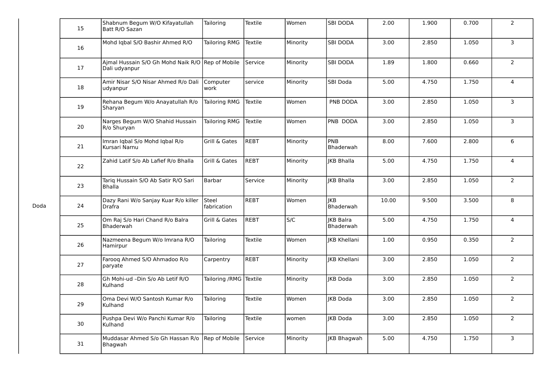| 15 | Shabnum Begum W/O Kifayatullah<br>Batt R/O Sazan                  | Tailoring              | Textile        | Women    | <b>SBI DODA</b>               | 2.00  | 1.900 | 0.700 | $\overline{2}$ |
|----|-------------------------------------------------------------------|------------------------|----------------|----------|-------------------------------|-------|-------|-------|----------------|
| 16 | Mohd Iqbal S/O Bashir Ahmed R/O                                   | <b>Tailoring RMG</b>   | Textile        | Minority | <b>SBI DODA</b>               | 3.00  | 2.850 | 1.050 | 3              |
| 17 | Aimal Hussain S/O Gh Mohd Naik R/O Rep of Mobile<br>Dali udyanpur |                        | Service        | Minority | <b>SBI DODA</b>               | 1.89  | 1.800 | 0.660 | $\overline{2}$ |
| 18 | Amir Nisar S/O Nisar Ahmed R/o Dali<br>udyanpur                   | Computer<br>work       | service        | Minority | SBI Doda                      | 5.00  | 4.750 | 1.750 | $\overline{4}$ |
| 19 | Rehana Begum W/o Anayatullah R/o<br>Sharyan                       | Tailoring RMG          | Textile        | Women    | PNB DODA                      | 3.00  | 2.850 | 1.050 | $\overline{3}$ |
| 20 | Narges Begum W/O Shahid Hussain<br>R/o Shuryan                    | <b>Tailoring RMG</b>   | Textile        | Women    | PNB DODA                      | 3.00  | 2.850 | 1.050 | $\overline{3}$ |
| 21 | Imran Iqbal S/o Mohd Iqbal R/o<br>Kursari Narnu                   | Grill & Gates          | <b>REBT</b>    | Minority | PNB<br>Bhaderwah              | 8.00  | 7.600 | 2.800 | 6              |
| 22 | Zahid Latif S/o Ab Lafief R/o Bhalla                              | Grill & Gates          | <b>REBT</b>    | Minority | <b>IKB Bhalla</b>             | 5.00  | 4.750 | 1.750 | $\overline{4}$ |
| 23 | Tarig Hussain S/O Ab Satir R/O Sari<br><b>Bhalla</b>              | Barbar                 | Service        | Minority | <b>IKB Bhalla</b>             | 3.00  | 2.850 | 1.050 | $\overline{2}$ |
| 24 | Dazy Rani W/o Sanjay Kuar R/o killer<br><b>Drafra</b>             | Steel<br>fabrication   | <b>REBT</b>    | Women    | <b>IKB</b><br>Bhaderwah       | 10.00 | 9.500 | 3.500 | 8              |
| 25 | Om Raj S/o Hari Chand R/o Balra<br>Bhaderwah                      | Grill & Gates          | REBT           | S/C      | <b>JKB Balra</b><br>Bhaderwah | 5.00  | 4.750 | 1.750 | $\overline{4}$ |
| 26 | Nazmeena Begum W/o Imrana R/O<br>Hamirpur                         | Tailoring              | <b>Textile</b> | Women    | <b>JKB Khellani</b>           | 1.00  | 0.950 | 0.350 | $\overline{2}$ |
| 27 | Faroog Ahmed S/O Ahmadoo R/o<br>paryate                           | Carpentry              | <b>REBT</b>    | Minority | <b>IKB Khellani</b>           | 3.00  | 2.850 | 1.050 | $\overline{2}$ |
| 28 | Gh Mohi-ud -Din S/o Ab Letif R/O<br>Kulhand                       | Tailoring /RMG Textile |                | Minority | <b>IKB Doda</b>               | 3.00  | 2.850 | 1.050 | $\overline{2}$ |
| 29 | Oma Devi W/O Santosh Kumar R/o<br>Kulhand                         | Tailoring              | <b>Textile</b> | Women    | <b>IKB Doda</b>               | 3.00  | 2.850 | 1.050 | $\overline{2}$ |
| 30 | Pushpa Devi W/o Panchi Kumar R/o<br>Kulhand                       | Tailoring              | Textile        | women    | <b>IKB Doda</b>               | 3.00  | 2.850 | 1.050 | $\overline{2}$ |
| 31 | Muddasar Ahmed S/o Gh Hassan R/o<br>Bhagwah                       | Rep of Mobile          | Service        | Minority | <b>JKB Bhagwah</b>            | 5.00  | 4.750 | 1.750 | $\mathsf{3}$   |

Doda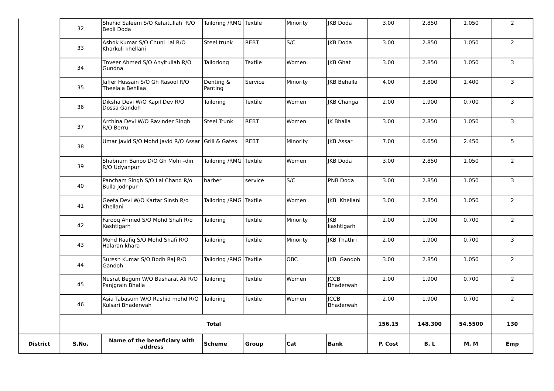| <b>District</b> | S.No. | Name of the beneficiary with<br>address               | <b>Scheme</b>             | Group   | Cat        | <b>Bank</b>                | P. Cost | B. L    | <b>M.M</b> | Emp                     |
|-----------------|-------|-------------------------------------------------------|---------------------------|---------|------------|----------------------------|---------|---------|------------|-------------------------|
|                 |       |                                                       | <b>Total</b>              |         |            |                            | 156.15  | 148.300 | 54.5500    | 130                     |
|                 | 46    | Asia Tabasum W/O Rashid mohd R/O<br>Kulsari Bhaderwah | Tailoring                 | Textile | Women      | Ііссв<br>Bhaderwah         | 2.00    | 1.900   | 0.700      | $\overline{2}$          |
|                 | 45    | Nusrat Begum W/O Basharat Ali R/O<br>Panjgrain Bhalla | Tailoring                 | Textile | Women      | <b>I</b> ICCB<br>Bhaderwah | 2.00    | 1.900   | 0.700      | $\overline{2}$          |
|                 | 44    | Suresh Kumar S/O Bodh Raj R/O<br>Gandoh               | Tailoring /RMG   Textile  |         | <b>OBC</b> | <b>IKB</b> Gandoh          | 3.00    | 2.850   | 1.050      | $\overline{2}$          |
|                 | 43    | Mohd Raafiq S/O Mohd Shafi R/O<br>Halaran khara       | Tailoring                 | Textile | Minority   | <b>KB</b> Thathri          | 2.00    | 1.900   | 0.700      | 3                       |
|                 | 42    | Farooq Ahmed S/O Mohd Shafi R/o<br>Kashtigarh         | Tailoring                 | Textile | Minority   | likb.<br>kashtigarh        | 2.00    | 1.900   | 0.700      | $\overline{2}$          |
|                 | 41    | Geeta Devi W/O Kartar Sinsh R/o<br>Khellani           | Tailoring /RMG Textile    |         | Women      | JKB Khellani               | 3.00    | 2.850   | 1.050      | $\overline{2}$          |
|                 | 40    | Pancham Singh S/O Lal Chand R/o<br>Bulla Jodhpur      | barber                    | service | S/C        | <b>PNB Doda</b>            | 3.00    | 2.850   | 1.050      | 3                       |
|                 | 39    | Shabnum Banoo D/O Gh Mohi-din<br>R/O Udyanpur         | Tailoring / RMG Textile   |         | Women      | <b>IKB Doda</b>            | 3.00    | 2.850   | 1.050      | $\overline{2}$          |
|                 | 38    | Umar Javid S/O Mohd Javid R/O Assar Grill & Gates     |                           | REBT    | Minority   | JKB Assar                  | 7.00    | 6.650   | 2.450      | $5\phantom{.0}$         |
|                 | 37    | Archina Devi W/O Ravinder Singh<br>R/O Berru          | Steel Trunk               | REBT    | Women      | <b>IK Bhalla</b>           | 3.00    | 2.850   | 1.050      | $\overline{\mathbf{3}}$ |
|                 | 36    | Diksha Devi W/O Kapil Dev R/O<br>Dossa Gandoh         | Tailoring                 | Textile | Women      | JKB Changa                 | 2.00    | 1.900   | 0.700      | $\mathsf{3}$            |
|                 | 35    | laffer Hussain S/O Gh Rasool R/O<br>Theelala Behllaa  | Denting &<br>Panting      | Service | Minority   | <b>IKB Behalla</b>         | 4.00    | 3.800   | 1.400      | $\overline{3}$          |
|                 | 34    | Tnveer Ahmed S/O Anyitullah R/O<br>Gundna             | Tailoriong                | Textile | Women      | JKB Ghat                   | 3.00    | 2.850   | 1.050      | 3                       |
|                 | 33    | Ashok Kumar S/O Chuni lal R/O<br>Kharkuli khellani    | Steel trunk               | REBT    | S/C        | JKB Doda                   | 3.00    | 2.850   | 1.050      | $\overline{2}$          |
|                 | 32    | Shahid Saleem S/O Kefaitullah R/O<br>Beoli Doda       | Tailoring / RMG   Textile |         | Minority   | IKB Doda                   | 3.00    | 2.850   | 1.050      | $\overline{2}$          |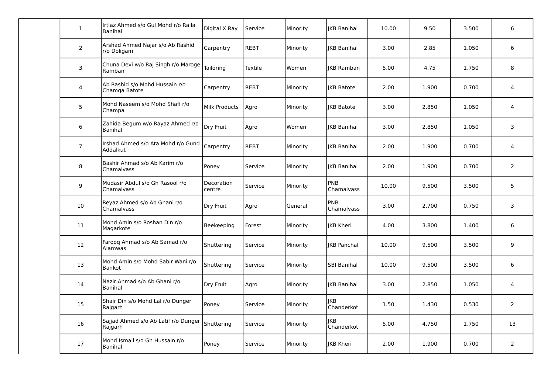| $\mathbf{1}$      | Irtiaz Ahmed s/o Gul Mohd r/o Ralla<br>Banihal  | Digital X Ray        | Service     | Minority | <b>IKB Banihal</b>       | 10.00 | 9.50  | 3.500 | 6              |
|-------------------|-------------------------------------------------|----------------------|-------------|----------|--------------------------|-------|-------|-------|----------------|
| $\overline{2}$    | Arshad Ahmed Najar s/o Ab Rashid<br>r/o Doligam | Carpentry            | <b>REBT</b> | Minority | <b>IKB Banihal</b>       | 3.00  | 2.85  | 1.050 | 6              |
| $\mathbf{3}$      | Chuna Devi w/o Raj Singh r/o Maroge<br>Ramban   | Tailoring            | Textile     | Women    | <b>IKB Ramban</b>        | 5.00  | 4.75  | 1.750 | 8              |
| 4                 | Ab Rashid s/o Mohd Hussain r/o<br>Chamga Batote | Carpentry            | <b>REBT</b> | Minority | <b>IKB Batote</b>        | 2.00  | 1.900 | 0.700 | 4              |
| $5\phantom{.0}$   | Mohd Naseem s/o Mohd Shafi r/o<br>Champa        | Milk Products        | Agro        | Minority | <b>IKB Batote</b>        | 3.00  | 2.850 | 1.050 | $\overline{4}$ |
| 6                 | Zahida Begum w/o Rayaz Ahmed r/o<br>Banihal     | Dry Fruit            | Agro        | Women    | <b>IKB Banihal</b>       | 3.00  | 2.850 | 1.050 | 3              |
| $\overline{7}$    | Irshad Ahmed s/o Ata Mohd r/o Gund<br>Addalkut  | Carpentry            | <b>REBT</b> | Minority | <b>IKB Banihal</b>       | 2.00  | 1.900 | 0.700 | $\sqrt{4}$     |
| 8                 | Bashir Ahmad s/o Ab Karim r/o<br>Chamalyass     | Poney                | Service     | Minority | <b>IKB Banihal</b>       | 2.00  | 1.900 | 0.700 | $\overline{2}$ |
| 9                 | Mudasir Abdul s/o Gh Rasool r/o<br>Chamalvass   | Decoration<br>centre | Service     | Minority | PNB<br>Chamalvass        | 10.00 | 9.500 | 3.500 | 5              |
| 10                | Reyaz Ahmed s/o Ab Ghani r/o<br>Chamalvass      | Dry Fruit            | Agro        | General  | PNB<br>Chamalvass        | 3.00  | 2.700 | 0.750 | 3              |
| 11                | Mohd Amin s/o Roshan Din r/o<br>Magarkote       | Beekeeping           | Forest      | Minority | <b>IKB Kheri</b>         | 4.00  | 3.800 | 1.400 | 6              |
| $12 \overline{ }$ | Farooq Ahmad s/o Ab Samad r/o<br>Alamwas        | Shuttering           | Service     | Minority | <b>IKB Panchal</b>       | 10.00 | 9.500 | 3.500 | 9              |
| 13                | Mohd Amin s/o Mohd Sabir Wani r/o<br>Bankot     | Shuttering           | Service     | Minority | <b>SBI Banihal</b>       | 10.00 | 9.500 | 3.500 | 6              |
| 14                | Nazir Ahmad s/o Ab Ghani r/o<br>Banihal         | Dry Fruit            | Agro        | Minority | <b>JKB Banihal</b>       | 3.00  | 2.850 | 1.050 | 4              |
| 15                | Shair Din s/o Mohd Lal r/o Dunger<br>Rajgarh    | Poney                | Service     | Minority | <b>JKB</b><br>Chanderkot | 1.50  | 1.430 | 0.530 | $\overline{2}$ |
| 16                | Sajjad Ahmed s/o Ab Latif r/o Dunger<br>Rajgarh | Shuttering           | Service     | Minority | KB<br>Chanderkot         | 5.00  | 4.750 | 1.750 | 13             |
| 17                | Mohd Ismail s/o Gh Hussain r/o<br>Banihal       | Poney                | Service     | Minority | <b>IKB Kheri</b>         | 2.00  | 1.900 | 0.700 | 2              |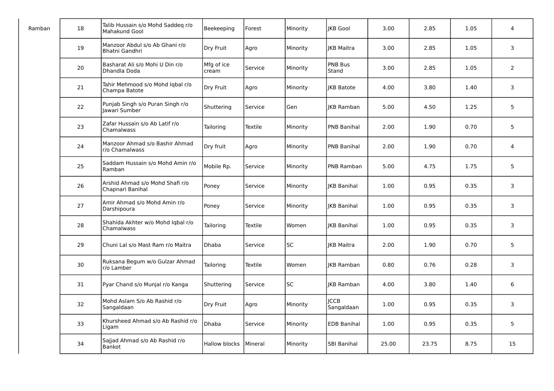| Ramban | 18 | Talib Hussain s/o Mohd Saddeg r/o<br>Mahakund Gool  | Beekeeping           | Forest  | Minority  | <b>IKB Gool</b>           | 3.00  | 2.85  | 1.05 | 4              |
|--------|----|-----------------------------------------------------|----------------------|---------|-----------|---------------------------|-------|-------|------|----------------|
|        | 19 | Manzoor Abdul s/o Ab Ghani r/o<br>Bhatni Gandhri    | Dry Fruit            | Agro    | Minority  | <b>IKB Maitra</b>         | 3.00  | 2.85  | 1.05 | 3              |
|        | 20 | Basharat Ali s/o Mohi U Din r/o<br>Dhandla Doda     | Mfg of ice<br>cream  | Service | Minority  | PNB Bus<br>Stand          | 3.00  | 2.85  | 1.05 | $\overline{2}$ |
|        | 21 | Tahir Mehmood s/o Mohd Iqbal r/o<br>Champa Batote   | Dry Fruit            | Agro    | Minority  | <b>IKB Batote</b>         | 4.00  | 3.80  | 1.40 | 3              |
|        | 22 | Punjab Singh s/o Puran Singh r/o<br>Jawari Sumber   | Shuttering           | Service | Gen       | <b>IKB Ramban</b>         | 5.00  | 4.50  | 1.25 | 5              |
|        | 23 | Zafar Hussain s/o Ab Latif r/o<br>Chamalwass        | Tailoring            | Textile | Minority  | <b>PNB Banihal</b>        | 2.00  | 1.90  | 0.70 | 5              |
|        | 24 | Manzoor Ahmad s/o Bashir Ahmad<br>r/o Chamalwass    | Dry fruit            | Agro    | Minority  | <b>PNB Banihal</b>        | 2.00  | 1.90  | 0.70 | 4              |
|        | 25 | Saddam Hussain s/o Mohd Amin r/o<br>Ramban          | Mobile Rp.           | Service | Minority  | PNB Ramban                | 5.00  | 4.75  | 1.75 | 5              |
|        | 26 | Arshid Ahmad s/o Mohd Shafi r/o<br>Chapnari Banihal | Poney                | Service | Minority  | JKB Banihal               | 1.00  | 0.95  | 0.35 | 3              |
|        | 27 | Amir Ahmad s/o Mohd Amin r/o<br>Darshipoura         | Poney                | Service | Minority  | <b>IKB Banihal</b>        | 1.00  | 0.95  | 0.35 | 3              |
|        | 28 | Shahida Akhter w/o Mohd Iqbal r/o<br>Chamalwass     | Tailoring            | Textile | Women     | <b>IKB Banihal</b>        | 1.00  | 0.95  | 0.35 | 3              |
|        | 29 | Chuni Lal s/o Mast Ram r/o Maitra                   | Dhaba                | Service | <b>SC</b> | <b>JKB Maitra</b>         | 2.00  | 1.90  | 0.70 | 5              |
|        | 30 | Ruksana Begum w/o Gulzar Ahmad<br>r/o Lamber        | Tailoring            | Textile | Women     | <b>IKB Ramban</b>         | 0.80  | 0.76  | 0.28 | 3              |
|        | 31 | Pyar Chand s/o Munjal r/o Kanga                     | Shuttering           | Service | <b>SC</b> | <b>IKB Ramban</b>         | 4.00  | 3.80  | 1.40 | 6              |
|        | 32 | Mohd Aslam S/o Ab Rashid r/o<br>Sangaldaan          | Dry Fruit            | Agro    | Minority  | <b>ICCB</b><br>Sangaldaan | 1.00  | 0.95  | 0.35 | 3              |
|        | 33 | Khursheed Ahmad s/o Ab Rashid r/o<br>Ligam          | Dhaba                | Service | Minority  | <b>EDB Banihal</b>        | 1.00  | 0.95  | 0.35 | 5              |
|        | 34 | Sajjad Ahmad s/o Ab Rashid r/o<br>Bankot            | <b>Hallow blocks</b> | Mineral | Minority  | SBI Banihal               | 25.00 | 23.75 | 8.75 | 15             |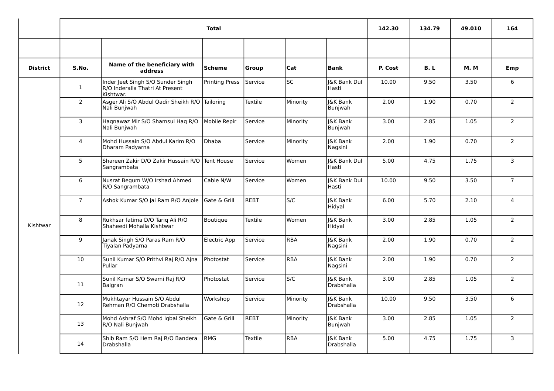|                 |                 |                                                                                   | <b>Total</b>          |             |            |                                   | 142.30  | 134.79 | 49.010     | 164            |
|-----------------|-----------------|-----------------------------------------------------------------------------------|-----------------------|-------------|------------|-----------------------------------|---------|--------|------------|----------------|
|                 |                 |                                                                                   |                       |             |            |                                   |         |        |            |                |
| <b>District</b> | S.No.           | Name of the beneficiary with<br>address                                           | Scheme                | Group       | Cat        | <b>Bank</b>                       | P. Cost | B.L    | <b>M.M</b> | Emp            |
|                 | $\mathbf{1}$    | Inder Jeet Singh S/O Sunder Singh<br>R/O Inderalla Thatri At Present<br>Kishtwar. | <b>Printing Press</b> | Service     | SC         | <b>J&amp;K Bank Dul</b><br>Hasti  | 10.00   | 9.50   | 3.50       | 6              |
|                 | $\overline{2}$  | Asger Ali S/O Abdul Qadir Sheikh R/O<br>Nali Bunjwah                              | Tailoring             | Textile     | Minority   | J&K Bank<br>Bunjwah               | 2.00    | 1.90   | 0.70       | $\overline{2}$ |
|                 | 3               | Haqnawaz Mir S/O Shamsul Haq R/O<br>Nali Bunjwah                                  | Mobile Repir          | Service     | Minority   | <b>J&amp;K Bank</b><br>Bunjwah    | 3.00    | 2.85   | 1.05       | 2              |
|                 | $\overline{4}$  | Mohd Hussain S/O Abdul Karim R/O<br>Dharam Padyarna                               | Dhaba                 | Service     | Minority   | <b>J&amp;K Bank</b><br>Nagsini    | 2.00    | 1.90   | 0.70       | 2              |
|                 | 5 <sup>1</sup>  | Shareen Zakir D/O Zakir Hussain R/O<br>Sangrambata                                | Tent House            | Service     | Women      | <b>J&amp;K Bank Dul</b><br>Hasti  | 5.00    | 4.75   | 1.75       | $\overline{3}$ |
|                 | 6               | Nusrat Begum W/O Irshad Ahmed<br>R/O Sangrambata                                  | Cable N/W             | Service     | Women      | I&K Bank Dul<br>Hasti             | 10.00   | 9.50   | 3.50       | $\overline{7}$ |
|                 | 7 <sup>7</sup>  | Ashok Kumar S/O jai Ram R/O Anjole                                                | lGate & Grill         | <b>REBT</b> | S/C        | <b>I&amp;K Bank</b><br>Hidyal     | 6.00    | 5.70   | 2.10       | $\overline{4}$ |
| Kishtwar        | 8               | Rukhsar fatima D/O Tariq Ali R/O<br>Shaheedi Mohalla Kishtwar                     | Boutique              | Textile     | Women      | <b>I&amp;K Bank</b><br>Hidyal     | 3.00    | 2.85   | 1.05       | 2              |
|                 | 9               | Janak Singh S/O Paras Ram R/O<br>Tiyalan Padyarna                                 | Electric App          | Service     | <b>RBA</b> | <b>I&amp;K Bank</b><br>Nagsini    | 2.00    | 1.90   | 0.70       | $\overline{2}$ |
|                 | 10 <sup>°</sup> | Sunil Kumar S/O Prithvi Raj R/O Ajna<br>l Pullar                                  | Photostat             | Service     | <b>RBA</b> | J&K Bank<br>Nagsini               | 2.00    | 1.90   | 0.70       | $\overline{2}$ |
|                 | 11              | Sunil Kumar S/O Swami Raj R/O<br>Balgran                                          | Photostat             | Service     | S/C        | <b>I&amp;K Bank</b><br>Drabshalla | 3.00    | 2.85   | 1.05       | $\overline{2}$ |
|                 | 12              | Mukhtayar Hussain S/O Abdul<br>Rehman R/O Chemoti Drabshalla                      | Workshop              | Service     | Minority   | <b>J&amp;K Bank</b><br>Drabshalla | 10.00   | 9.50   | 3.50       | 6              |
|                 | 13              | Mohd Ashraf S/O Mohd Iqbal Sheikh<br>R/O Nali Bunjwah                             | Gate & Grill          | <b>REBT</b> | Minority   | J&K Bank<br>Bunjwah               | 3.00    | 2.85   | 1.05       | $\overline{2}$ |
|                 | 14              | Shib Ram S/O Hem Raj R/O Bandera<br>Drabshalla                                    | RMG                   | Textile     | <b>RBA</b> | J&K Bank<br>Drabshalla            | 5.00    | 4.75   | 1.75       | 3              |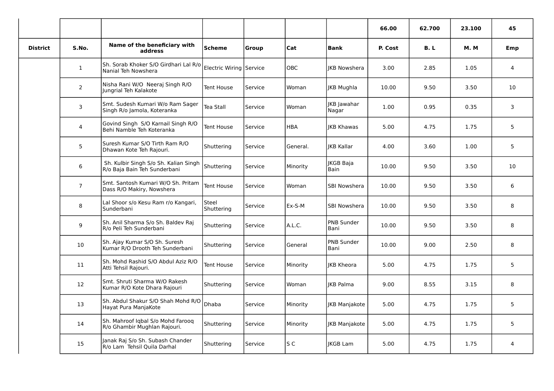|                 |                |                                                                       |                         |         |            |                      | 66.00   | 62.700 | 23.100     | 45             |
|-----------------|----------------|-----------------------------------------------------------------------|-------------------------|---------|------------|----------------------|---------|--------|------------|----------------|
| <b>District</b> | S.No.          | Name of the beneficiary with<br>address                               | <b>Scheme</b>           | Group   | Cat        | <b>Bank</b>          | P. Cost | B.L    | <b>M.M</b> | Emp            |
|                 | $\mathbf{1}$   | Sh. Sorab Khoker S/O Girdhari Lal R/o<br>Nanial Teh Nowshera          | Electric Wiring Service |         | OBC        | <b>IKB Nowshera</b>  | 3.00    | 2.85   | 1.05       | 4              |
|                 | $\overline{2}$ | Nisha Rani W/O Neeraj Singh R/O<br>Jungrial Teh Kalakote              | Tent House              | Service | Woman      | IKB Mughla           | 10.00   | 9.50   | 3.50       | 10             |
|                 | 3              | Smt. Sudesh Kumari W/o Ram Sager<br>Singh R/o Jamola, Koteranka       | Tea Stall               | Service | Woman      | JKB Jawahar<br>Nagar | 1.00    | 0.95   | 0.35       | 3              |
|                 | $\overline{4}$ | Govind Singh S/O Karnail Singh R/O<br>Behi Namble Teh Koteranka       | Tent House              | Service | <b>HBA</b> | <b>IKB Khawas</b>    | 5.00    | 4.75   | 1.75       | 5              |
|                 | 5              | Suresh Kumar S/O Tirth Ram R/O<br>Dhawan Kote Teh Rajouri.            | Shuttering              | Service | General.   | <b>IKB Kallar</b>    | 4.00    | 3.60   | 1.00       | 5              |
|                 | 6              | Sh. Kulbir Singh S/o Sh. Kalian Singh<br>R/o Baja Bain Teh Sunderbani | Shuttering              | Service | Minority   | JKGB Baja<br>Bain    | 10.00   | 9.50   | 3.50       | 10             |
|                 | $\overline{7}$ | Smt. Santosh Kumari W/O Sh. Pritam<br>Dass R/O Makiry, Nowshera       | Tent House              | Service | Woman      | SBI Nowshera         | 10.00   | 9.50   | 3.50       | 6              |
|                 | 8              | Lal Shoor s/o Kesu Ram r/o Kangari,<br>Sunderbani                     | Steel<br>Shuttering     | Service | Ex-S-M     | <b>SBI Nowshera</b>  | 10.00   | 9.50   | 3.50       | 8              |
|                 | 9              | Sh. Anil Sharma S/o Sh. Baldev Raj<br>R/o Peli Teh Sunderbani         | Shuttering              | Service | A.L.C.     | PNB Sunder<br>Bani   | 10.00   | 9.50   | 3.50       | 8              |
|                 | 10             | Sh. Ajay Kumar S/O Sh. Suresh<br>Kumar R/O Drooth Teh Sunderbani      | Shuttering              | Service | General    | PNB Sunder<br>l Bani | 10.00   | 9.00   | 2.50       | 8              |
|                 | 11             | Sh. Mohd Rashid S/O Abdul Aziz R/O<br>Atti Tehsil Rajouri.            | Tent House              | Service | Minority   | <b>IKB Kheora</b>    | 5.00    | 4.75   | 1.75       | 5              |
|                 | 12             | Smt. Shruti Sharma W/O Rakesh<br>Kumar R/O Kote Dhara Rajouri         | Shuttering              | Service | Woman      | IKB Palma            | 9.00    | 8.55   | 3.15       | 8              |
|                 | 13             | Sh. Abdul Shakur S/O Shah Mohd R/O<br>Hayat Pura ManjaKote            | Dhaba                   | Service | Minority   | JKB Manjakote        | 5.00    | 4.75   | 1.75       | 5              |
|                 | 14             | Sh. Mahroof Iqbal S/o Mohd Farooq<br>R/o Ghambir Mughlan Rajouri.     | Shuttering              | Service | Minority   | IKB Manjakote        | 5.00    | 4.75   | 1.75       | 5              |
|                 | 15             | Janak Raj S/o Sh. Subash Chander<br>R/o Lam Tehsil Quila Darhal       | Shuttering              | Service | S C        | <b>IKGB Lam</b>      | 5.00    | 4.75   | 1.75       | $\overline{4}$ |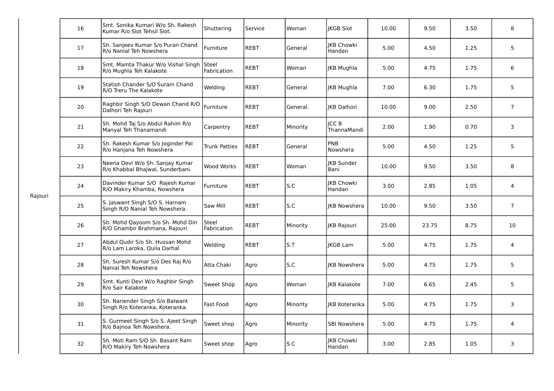|         | 16 | Smt. Sonika Kumari W/o Sh. Rakesh<br>Kumar R/o Siot Tehsil Siot.    | Shuttering                  | lService     | Woman    | <b>IKGB Siot</b>            | 10.00 | 9.50  | 3.50 | 8              |
|---------|----|---------------------------------------------------------------------|-----------------------------|--------------|----------|-----------------------------|-------|-------|------|----------------|
|         | 17 | Sh. Sanjeev Kumar S/o Puran Chand<br>R/o Nanial Teh Nowshera        | Furniture                   | REBT         | General  | <b>IKB Chowki</b><br>Handan | 5.00  | 4.50  | 1.25 | 5              |
|         | 18 | Smt. Mamta Thakur W/o Vishal Singh<br>R/o Mughla Teh Kalakote       | <b>Steel</b><br>Fabrication | <b>REBT</b>  | Woman    | <b>JKB Mughla</b>           | 5.00  | 4.75  | 1.75 | 6              |
|         | 19 | Statish Chander S/O Suram Chand<br>R/O Treru The Kalakote           | Welding                     | REBT         | General  | JKB Mughla                  | 7.00  | 6.30  | 1.75 | 5              |
|         | 20 | Raghbir Singh S/O Dewan Chand R/O<br>Dalhori Teh Rajouri            | Furniture                   | <b>REBT</b>  | General. | <b>IKB Dalhori</b>          | 10.00 | 9.00  | 2.50 | $\overline{7}$ |
|         | 21 | Sh. Mohd Taj S/o Abdul Rahim R/o<br>Manyal Teh Thanamandi           | Carpentry                   | IREBT        | Minority | <b>JCCB</b><br>ThannaMandi  | 2.00  | 1.90  | 0.70 | 3              |
|         | 22 | Sh. Rakesh Kumar S/o Joginder Pal<br>R/o Hanjana Teh Nowshera       | <b>Trunk Patties</b>        | <b>REBT</b>  | General  | PNB<br>Nowshera             | 5.00  | 4.50  | 1.25 | 5              |
|         | 23 | Neena Devi W/o Sh. Sanjay Kumar<br>R/o Khabbal Bhajwal, Sunderbani. | Wood Works                  | <b>IREBT</b> | Woman    | <b>IKB Sunder</b><br>Bani   | 10.00 | 9.50  | 3.50 | 8              |
| Rajouri | 24 | Davinder Kumar S/O Rajesh Kumar<br>R/O Makiry Khamba, Nowshera      | Furniture                   | REBT         | S.C      | JKB Chowki<br>Handan        | 3.00  | 2.85  | 1.05 | 4              |
|         | 25 | S. Jaswant Singh S/O S. Harnam<br>Singh R/O Nanial Teh Nowshera.    | Saw Mill                    | <b>IREBT</b> | S.C      | <b>IKB Nowshera</b>         | 10.00 | 9.50  | 3.50 | $\overline{7}$ |
|         | 26 | Sh. Mohd Qayoom S/o Sh. Mohd Din<br>R/O Ghambir Brahmana, Rajouri   | Steel<br>Fabrication        | <b>REBT</b>  | Minority | JKB Rajouri                 | 25.00 | 23.75 | 8.75 | 10             |
|         | 27 | Abdul Qudir S/o Sh. Hussan Mohd<br>R/o Lam Laroka, Quila Darhal     | Welding                     | <b>REBT</b>  | S.T      | <b>IKGB Lam</b>             | 5.00  | 4.75  | 1.75 | $\overline{4}$ |
|         | 28 | Sh. Suresh Kumar S/o Des Raj R/o<br>Nanial Teh Nowshera             | Atta Chaki                  | Agro         | S.C      | <b>IKB Nowshera</b>         | 5.00  | 4.75  | 1.75 | 5              |
|         | 29 | Smt. Kunti Devi W/o Raghbir Singh<br>R/o Sair Kalakote              | Sweet Shop                  | Agro         | Woman    | <b>JKB Kalakote</b>         | 7.00  | 6.65  | 2.45 | 5              |
|         | 30 | Sh. Nariender Singh S/o Balwant<br>Singh R/o Koteranka, Koteranka.  | Fast Food                   | Agro         | Minority | <b>IKB Koteranka</b>        | 5.00  | 4.75  | 1.75 | 3              |
|         | 31 | S. Gurmeet Singh S/o S. Ajeet Singh<br>R/o Bajnoa Teh Nowshera.     | Sweet shop                  | Agro         | Minority | SBI Nowshera                | 5.00  | 4.75  | 1.75 | 4              |
|         | 32 | Sh. Moti Ram S/O Sh. Basant Ram<br>R/O Makiry Teh Nowshera          | Sweet shop                  | Agro         | S C      | <b>JKB Chowki</b><br>Handan | 3.00  | 2.85  | 1.05 | 3              |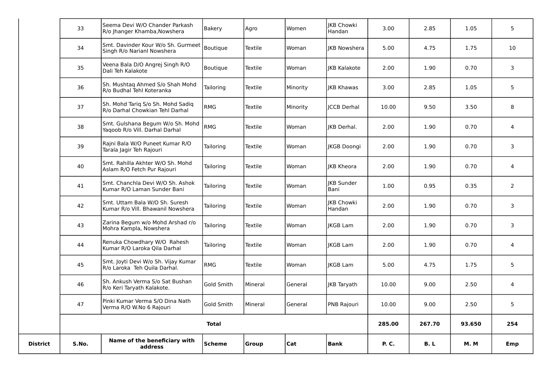| District | S.No. | Name of the beneficiary with<br>address                              | <b>Scheme</b> | Group   | Cat      | <b>Bank</b>                      | <b>P.C.</b> | B.L    | <b>M.M</b> | Emp                     |
|----------|-------|----------------------------------------------------------------------|---------------|---------|----------|----------------------------------|-------------|--------|------------|-------------------------|
|          |       |                                                                      | <b>Total</b>  |         |          |                                  | 285.00      | 267.70 | 93.650     | 254                     |
|          | 47    | Pinki Kumar Verma S/O Dina Nath<br>Verma R/O W.No 6 Rajouri          | Gold Smith    | Mineral | General  | <b>PNB Rajouri</b>               | 10.00       | 9.00   | 2.50       | 5                       |
|          | 46    | Sh. Ankush Verma S/o Sat Bushan<br>R/o Keri Taryath Kalakote.        | Gold Smith    | Mineral | General  | <b>JKB</b> Taryath               | 10.00       | 9.00   | 2.50       | $\overline{\mathbf{4}}$ |
|          | 45    | Smt. Joyti Devi W/o Sh. Vijay Kumar<br>R/o Laroka Teh Quila Darhal.  | <b>RMG</b>    | Textile | Woman    | IKGB Lam                         | 5.00        | 4.75   | 1.75       | 5                       |
|          | 44    | Renuka Chowdhary W/O Rahesh<br>Kumar R/O Laroka Qila Darhal          | Tailoring     | Textile | Woman    | <b>IKGB Lam</b>                  | 2.00        | 1.90   | 0.70       | 4                       |
|          | 43    | Zarina Begum w/o Mohd Arshad r/o<br>Mohra Kampla, Nowshera           | Tailoring     | Textile | Woman    | <b>IKGB Lam</b>                  | 2.00        | 1.90   | 0.70       | 3                       |
|          | 42    | Smt. Uttam Bala W/O Sh. Suresh<br>Kumar R/o Vill. Bhawanil Nowshera  | Tailoring     | Textile | Woman    | JKB Chowki<br>Handan             | 2.00        | 1.90   | 0.70       | 3                       |
|          | 41    | Smt. Chanchla Devi W/O Sh. Ashok<br>Kumar R/O Laman Sunder Bani      | Tailoring     | Textile | Woman    | <b>IKB Sunder</b><br><b>Bani</b> | 1.00        | 0.95   | 0.35       | $\overline{2}$          |
|          | 40    | Smt. Rahilla Akhter W/O Sh. Mohd<br>Aslam R/O Fetch Pur Rajouri      | Tailoring     | Textile | Woman    | <b>IKB Kheora</b>                | 2.00        | 1.90   | 0.70       | 4                       |
|          | 39    | Rajni Bala W/O Puneet Kumar R/O<br>Tarala Jagir Teh Rajouri          | Tailoring     | Textile | Woman    | <b>KGB Doongi</b>                | 2.00        | 1.90   | 0.70       | 3                       |
|          | 38    | Smt. Gulshana Begum W/o Sh. Mohd<br>Yaqoob R/o Vill. Darhal Darhal   | RMG           | Textile | Woman    | IKB Derhal.                      | 2.00        | 1.90   | 0.70       | 4                       |
|          | 37    | Sh. Mohd Tariq S/o Sh. Mohd Sadiq<br>R/o Darhal Chowkian Tehl Darhal | <b>RMG</b>    | Textile | Minority | <b>ICCB</b> Derhal               | 10.00       | 9.50   | 3.50       | 8                       |
|          | 36    | Sh. Mushtaq Ahmed S/o Shah Mohd<br>R/o Budhal Tehl Koteranka         | Tailoring     | Textile | Minority | <b>IKB Khawas</b>                | 3.00        | 2.85   | 1.05       | 5                       |
|          | 35    | Veena Bala D/O Angrej Singh R/O<br>Dali Teh Kalakote                 | Boutique      | Textile | Woman    | <b>IKB Kalakote</b>              | 2.00        | 1.90   | 0.70       | $\overline{3}$          |
|          | 34    | Smt. Davinder Kour W/o Sh. Gurmeet<br>Singh R/o Narianl Nowshera     | Boutique      | Textile | Woman    | <b>IKB Nowshera</b>              | 5.00        | 4.75   | 1.75       | 10                      |
|          | 33    | Seema Devi W/O Chander Parkash<br>R/o Ihanger Khamba, Nowshera       | Bakery        | Agro    | Women    | <b>IKB Chowki</b><br>Handan      | 3.00        | 2.85   | 1.05       | 5                       |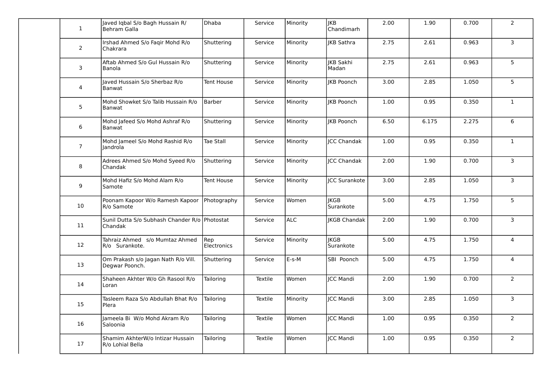| $\mathbf{1}$   | Javed Iqbal S/o Bagh Hussain R/<br>Behram Galla          | Dhaba                     | Service | Minority   | JKB<br>Chandimarh        | 2.00 | 1.90  | 0.700 | $\overline{2}$ |
|----------------|----------------------------------------------------------|---------------------------|---------|------------|--------------------------|------|-------|-------|----------------|
| $\overline{2}$ | Irshad Ahmed S/o Faqir Mohd R/o<br>Chakrara              | Shuttering                | Service | Minority   | <b>IKB Sathra</b>        | 2.75 | 2.61  | 0.963 | $\mathbf{3}$   |
| 3              | Aftab Ahmed S/o Gul Hussain R/o<br>Banola                | Shuttering                | Service | Minority   | JKB Sakhi<br>Madan       | 2.75 | 2.61  | 0.963 | 5              |
| $\overline{4}$ | Javed Hussain S/o Sherbaz R/o<br>Banwat                  | Tent House                | Service | Minority   | <b>IKB Poonch</b>        | 3.00 | 2.85  | 1.050 | 5 <sub>5</sub> |
| $5\phantom{.}$ | Mohd Showket S/o Talib Hussain R/o<br>Banwat             | Barber                    | Service | Minority   | JKB Poonch               | 1.00 | 0.95  | 0.350 | $\mathbf{1}$   |
| 6              | Mohd Jafeed S/o Mohd Ashraf R/o<br>Banwat                | Shuttering                | Service | Minority   | <b>JKB Poonch</b>        | 6.50 | 6.175 | 2.275 | 6              |
| $\overline{7}$ | Mohd Jameel S/o Mohd Rashid R/o<br>landrola              | Tae Stall                 | Service | Minority   | <b>JCC Chandak</b>       | 1.00 | 0.95  | 0.350 | $\mathbf{1}$   |
| 8              | Adrees Ahmed S/o Mohd Syeed R/o<br>Chandak               | Shuttering                | Service | Minority   | ICC Chandak              | 2.00 | 1.90  | 0.700 | $\overline{3}$ |
| 9              | Mohd Hafiz S/o Mohd Alam R/o<br>Samote                   | Tent House                | Service | Minority   | <b>ICC Surankote</b>     | 3.00 | 2.85  | 1.050 | $\mathbf{3}$   |
| 10             | Poonam Kapoor W/o Ramesh Kapoor<br>R/o Samote            | Photography               | Service | Women      | <b>JKGB</b><br>Surankote | 5.00 | 4.75  | 1.750 | 5 <sub>5</sub> |
| 11             | Sunil Dutta S/o Subhash Chander R/o Photostat<br>Chandak |                           | Service | <b>ALC</b> | <b>IKGB Chandak</b>      | 2.00 | 1.90  | 0.700 | $\overline{3}$ |
| 12             | Tahraiz Ahmed s/o Mumtaz Ahmed<br>R/o Surankote.         | Rep<br><b>Electronics</b> | Service | Minority   | <b>JKGB</b><br>Surankote | 5.00 | 4.75  | 1.750 | $\overline{4}$ |
| 13             | Om Prakash s/o Jagan Nath R/o Vill.<br>Degwar Poonch.    | Shuttering                | Service | $E-S-M$    | SBI Poonch               | 5.00 | 4.75  | 1.750 | $\overline{4}$ |
| 14             | Shaheen Akhter W/o Gh Rasool R/o<br>Loran                | Tailoring                 | Textile | Women      | <b>ICC Mandi</b>         | 2.00 | 1.90  | 0.700 | $\overline{2}$ |
| 15             | Tasleem Raza S/o Abdullah Bhat R/o<br>Plera              | Tailoring                 | Textile | Minority   | JCC Mandi                | 3.00 | 2.85  | 1.050 | 3              |
| 16             | Jameela Bi W/o Mohd Akram R/o<br>Saloonia                | Tailoring                 | Textile | Women      | JCC Mandi                | 1.00 | 0.95  | 0.350 | $\overline{2}$ |
| 17             | Shamim AkhterW/o Intizar Hussain<br>R/o Lohial Bella     | Tailoring                 | Textile | Women      | <b>ICC Mandi</b>         | 1.00 | 0.95  | 0.350 | $\overline{2}$ |
|                |                                                          |                           |         |            |                          |      |       |       |                |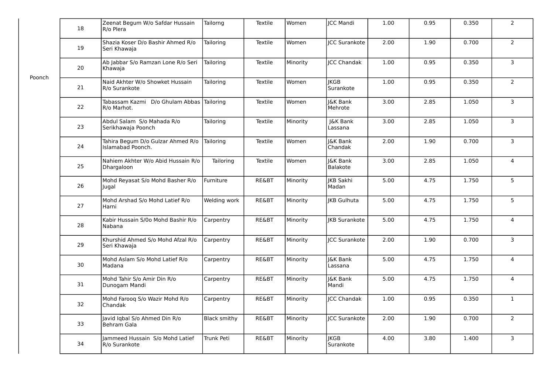|        | 18 | Zeenat Begum W/o Safdar Hussain<br>R/o Plera             | Tailorng     | Textile          | Women    | JCC Mandi                      | $1.00\,$ | 0.95 | 0.350 | $\overline{2}$  |
|--------|----|----------------------------------------------------------|--------------|------------------|----------|--------------------------------|----------|------|-------|-----------------|
|        | 19 | Shazia Koser D/o Bashir Ahmed R/o<br>Seri Khawaja        | Tailoring    | Textile          | Women    | <b>JCC Surankote</b>           | 2.00     | 1.90 | 0.700 | $\overline{2}$  |
|        | 20 | Ab Jabbar S/o Ramzan Lone R/o Seri<br>Khawaja            | Tailoring    | Textile          | Minority | ICC Chandak                    | 1.00     | 0.95 | 0.350 | $\overline{3}$  |
| Poonch | 21 | Naid Akhter W/o Showket Hussain<br>R/o Surankote         | Tailoring    | Textile          | Women    | <b>JKGB</b><br>Surankote       | 1.00     | 0.95 | 0.350 | $\overline{2}$  |
|        | 22 | Tabassam Kazmi D/o Ghulam Abbas Tailoring<br>R/o Marhot. |              | Textile          | Women    | <b>J&amp;K Bank</b><br>Mehrote | 3.00     | 2.85 | 1.050 | $\overline{3}$  |
|        | 23 | Abdul Salam S/o Mahada R/o<br>Serikhawaja Poonch         | Tailoring    | Textile          | Minority | J&K Bank<br>Lassana            | 3.00     | 2.85 | 1.050 | $\overline{3}$  |
|        | 24 | Tahira Begum D/o Gulzar Ahmed R/o<br>Islamabad Poonch.   | Tailoring    | Textile          | Women    | J&K Bank<br>Chandak            | 2.00     | 1.90 | 0.700 | 3               |
|        | 25 | Nahiem Akhter W/o Abid Hussain R/o<br>Dhargaloon         | Tailoring    | Textile          | Women    | J&K Bank<br>Balakote           | 3.00     | 2.85 | 1.050 | $\overline{4}$  |
|        | 26 | Mohd Reyasat S/o Mohd Basher R/o<br>Jugal                | Furniture    | <b>RE&amp;BT</b> | Minority | <b>JKB Sakhi</b><br>Madan      | 5.00     | 4.75 | 1.750 | $5\overline{)}$ |
|        | 27 | Mohd Arshad S/o Mohd Latief R/o<br>Harni                 | Welding work | RE&BT            | Minority | <b>JKB Gulhuta</b>             | 5.00     | 4.75 | 1.750 | 5               |
|        | 28 | Kabir Hussain S/0o Mohd Bashir R/o<br>Nabana             | Carpentry    | RE&BT            | Minority | <b>IKB Surankote</b>           | 5.00     | 4.75 | 1.750 | $\overline{4}$  |
|        | 29 | Khurshid Ahmed S/o Mohd Afzal R/o<br>Seri Khawaja        | Carpentry    | <b>RE&amp;BT</b> | Minority | <b>JCC Surankote</b>           | 2.00     | 1.90 | 0.700 | 3               |
|        | 30 | Mohd Aslam S/o Mohd Latief R/o<br>Madana                 | Carpentry    | RE&BT            | Minority | <b>J&amp;K Bank</b><br>Lassana | 5.00     | 4.75 | 1.750 | $\overline{4}$  |
|        | 31 | Mohd Tahir S/o Amir Din R/o<br>Dunogam Mandi             | Carpentry    | RE&BT            | Minority | I&K Bank<br>Mandi              | 5.00     | 4.75 | 1.750 | $\overline{4}$  |
|        | 32 | Mohd Farooq S/o Wazir Mohd R/o<br>Chandak                | Carpentry    | <b>RE&amp;BT</b> | Minority | <b>JCC Chandak</b>             | 1.00     | 0.95 | 0.350 | $\mathbf{1}$    |
|        | 33 | Javid Iqbal S/o Ahmed Din R/o<br>Behram Gala             | Black smithy | RE&BT            | Minority | <b>ICC Surankote</b>           | 2.00     | 1.90 | 0.700 | $\overline{2}$  |
|        | 34 | Jammeed Hussain S/o Mohd Latief<br>R/o Surankote         | Trunk Peti   | RE&BT            | Minority | <b>JKGB</b><br>Surankote       | 4.00     | 3.80 | 1.400 | 3               |
|        |    |                                                          |              |                  |          |                                |          |      |       |                 |